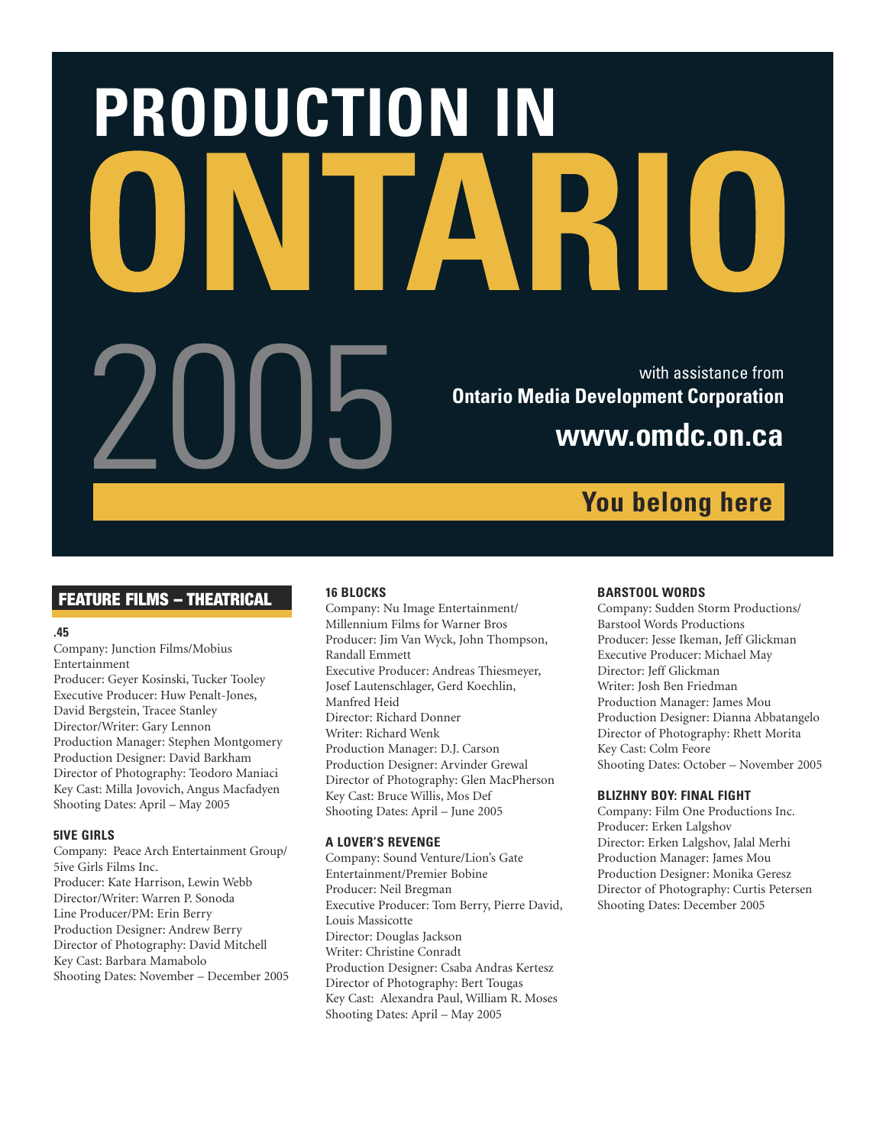# **PRODUCTION IN** With assistance from United States of Library<br>Dentario Media Development Corporation<br>WWW.OMdC.ON.Ca **Ontario Media Development Corporation www.omdc.on.ca**

# FEATURE FILMS – THEATRICAL

# **.45**

Company: Junction Films/Mobius Entertainment

Producer: Geyer Kosinski, Tucker Tooley Executive Producer: Huw Penalt-Jones, David Bergstein, Tracee Stanley Director/Writer: Gary Lennon Production Manager: Stephen Montgomery Production Designer: David Barkham Director of Photography: Teodoro Maniaci Key Cast: Milla Jovovich, Angus Macfadyen Shooting Dates: April – May 2005

# **5IVE GIRLS**

Company: Peace Arch Entertainment Group/ 5ive Girls Films Inc. Producer: Kate Harrison, Lewin Webb Director/Writer: Warren P. Sonoda Line Producer/PM: Erin Berry Production Designer: Andrew Berry Director of Photography: David Mitchell Key Cast: Barbara Mamabolo Shooting Dates: November – December 2005

# **16 BLOCKS**

Company: Nu Image Entertainment/ Millennium Films for Warner Bros Producer: Jim Van Wyck, John Thompson, Randall Emmett Executive Producer: Andreas Thiesmeyer, Josef Lautenschlager, Gerd Koechlin, Manfred Heid Director: Richard Donner Writer: Richard Wenk Production Manager: D.J. Carson Production Designer: Arvinder Grewal Director of Photography: Glen MacPherson Key Cast: Bruce Willis, Mos Def Shooting Dates: April – June 2005

# **A LOVER'S REVENGE**

Company: Sound Venture/Lion's Gate Entertainment/Premier Bobine Producer: Neil Bregman Executive Producer: Tom Berry, Pierre David, Louis Massicotte Director: Douglas Jackson Writer: Christine Conradt Production Designer: Csaba Andras Kertesz Director of Photography: Bert Tougas Key Cast: Alexandra Paul, William R. Moses Shooting Dates: April – May 2005

# **BARSTOOL WORDS**

**You belong here**

Company: Sudden Storm Productions/ Barstool Words Productions Producer: Jesse Ikeman, Jeff Glickman Executive Producer: Michael May Director: Jeff Glickman Writer: Josh Ben Friedman Production Manager: James Mou Production Designer: Dianna Abbatangelo Director of Photography: Rhett Morita Key Cast: Colm Feore Shooting Dates: October – November 2005

# **BLIZHNY BOY: FINAL FIGHT**

Company: Film One Productions Inc. Producer: Erken Lalgshov Director: Erken Lalgshov, Jalal Merhi Production Manager: James Mou Production Designer: Monika Geresz Director of Photography: Curtis Petersen Shooting Dates: December 2005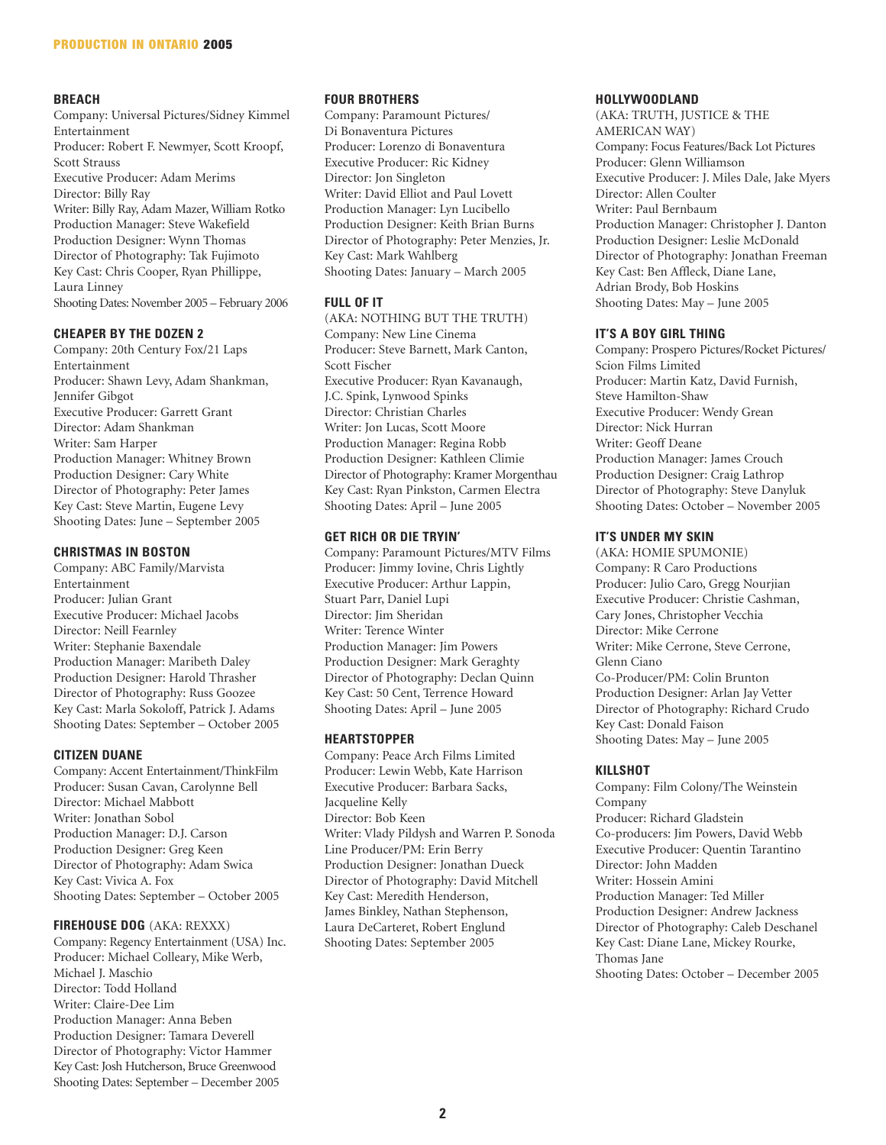# **BREACH**

Company: Universal Pictures/Sidney Kimmel Entertainment Producer: Robert F. Newmyer, Scott Kroopf, Scott Strauss Executive Producer: Adam Merims Director: Billy Ray Writer: Billy Ray, Adam Mazer, William Rotko Production Manager: Steve Wakefield Production Designer: Wynn Thomas Director of Photography: Tak Fujimoto Key Cast: Chris Cooper, Ryan Phillippe, Laura Linney Shooting Dates: November 2005 – February 2006

# **CHEAPER BY THE DOZEN 2**

Company: 20th Century Fox/21 Laps Entertainment Producer: Shawn Levy, Adam Shankman, Jennifer Gibgot Executive Producer: Garrett Grant Director: Adam Shankman Writer: Sam Harper Production Manager: Whitney Brown Production Designer: Cary White Director of Photography: Peter James Key Cast: Steve Martin, Eugene Levy Shooting Dates: June – September 2005

# **CHRISTMAS IN BOSTON**

Company: ABC Family/Marvista Entertainment Producer: Julian Grant Executive Producer: Michael Jacobs Director: Neill Fearnley Writer: Stephanie Baxendale Production Manager: Maribeth Daley Production Designer: Harold Thrasher Director of Photography: Russ Goozee Key Cast: Marla Sokoloff, Patrick J. Adams Shooting Dates: September – October 2005

#### **CITIZEN DUANE**

Company: Accent Entertainment/ThinkFilm Producer: Susan Cavan, Carolynne Bell Director: Michael Mabbott Writer: Jonathan Sobol Production Manager: D.J. Carson Production Designer: Greg Keen Director of Photography: Adam Swica Key Cast: Vivica A. Fox Shooting Dates: September – October 2005

#### **FIREHOUSE DOG** (AKA: REXXX)

Company: Regency Entertainment (USA) Inc. Producer: Michael Colleary, Mike Werb, Michael J. Maschio Director: Todd Holland Writer: Claire-Dee Lim Production Manager: Anna Beben Production Designer: Tamara Deverell Director of Photography: Victor Hammer Key Cast: Josh Hutcherson, Bruce Greenwood Shooting Dates: September – December 2005

#### **FOUR BROTHERS**

Company: Paramount Pictures/ Di Bonaventura Pictures Producer: Lorenzo di Bonaventura Executive Producer: Ric Kidney Director: Jon Singleton Writer: David Elliot and Paul Lovett Production Manager: Lyn Lucibello Production Designer: Keith Brian Burns Director of Photography: Peter Menzies, Jr. Key Cast: Mark Wahlberg Shooting Dates: January – March 2005

# **FULL OF IT**

(AKA: NOTHING BUT THE TRUTH) Company: New Line Cinema Producer: Steve Barnett, Mark Canton, Scott Fischer Executive Producer: Ryan Kavanaugh, J.C. Spink, Lynwood Spinks Director: Christian Charles Writer: Jon Lucas, Scott Moore Production Manager: Regina Robb Production Designer: Kathleen Climie Director of Photography: Kramer Morgenthau Key Cast: Ryan Pinkston, Carmen Electra Shooting Dates: April – June 2005

# **GET RICH OR DIE TRYIN'**

Company: Paramount Pictures/MTV Films Producer: Jimmy Iovine, Chris Lightly Executive Producer: Arthur Lappin, Stuart Parr, Daniel Lupi Director: Jim Sheridan Writer: Terence Winter Production Manager: Jim Powers Production Designer: Mark Geraghty Director of Photography: Declan Quinn Key Cast: 50 Cent, Terrence Howard Shooting Dates: April – June 2005

# **HEARTSTOPPER**

Company: Peace Arch Films Limited Producer: Lewin Webb, Kate Harrison Executive Producer: Barbara Sacks, Jacqueline Kelly Director: Bob Keen Writer: Vlady Pildysh and Warren P. Sonoda Line Producer/PM: Erin Berry Production Designer: Jonathan Dueck Director of Photography: David Mitchell Key Cast: Meredith Henderson, James Binkley, Nathan Stephenson, Laura DeCarteret, Robert Englund Shooting Dates: September 2005

#### **HOLLYWOODLAND**

(AKA: TRUTH, JUSTICE & THE AMERICAN WAY) Company: Focus Features/Back Lot Pictures Producer: Glenn Williamson Executive Producer: J. Miles Dale, Jake Myers Director: Allen Coulter Writer: Paul Bernbaum Production Manager: Christopher J. Danton Production Designer: Leslie McDonald Director of Photography: Jonathan Freeman Key Cast: Ben Affleck, Diane Lane, Adrian Brody, Bob Hoskins Shooting Dates: May – June 2005

# **IT'S A BOY GIRL THING**

Company: Prospero Pictures/Rocket Pictures/ Scion Films Limited Producer: Martin Katz, David Furnish, Steve Hamilton-Shaw Executive Producer: Wendy Grean Director: Nick Hurran Writer: Geoff Deane Production Manager: James Crouch Production Designer: Craig Lathrop Director of Photography: Steve Danyluk Shooting Dates: October – November 2005

# **IT'S UNDER MY SKIN**

(AKA: HOMIE SPUMONIE) Company: R Caro Productions Producer: Julio Caro, Gregg Nourjian Executive Producer: Christie Cashman, Cary Jones, Christopher Vecchia Director: Mike Cerrone Writer: Mike Cerrone, Steve Cerrone, Glenn Ciano Co-Producer/PM: Colin Brunton Production Designer: Arlan Jay Vetter Director of Photography: Richard Crudo Key Cast: Donald Faison Shooting Dates: May – June 2005

#### **KILLSHOT**

Company: Film Colony/The Weinstein Company Producer: Richard Gladstein Co-producers: Jim Powers, David Webb Executive Producer: Quentin Tarantino Director: John Madden Writer: Hossein Amini Production Manager: Ted Miller Production Designer: Andrew Jackness Director of Photography: Caleb Deschanel Key Cast: Diane Lane, Mickey Rourke, Thomas Jane Shooting Dates: October – December 2005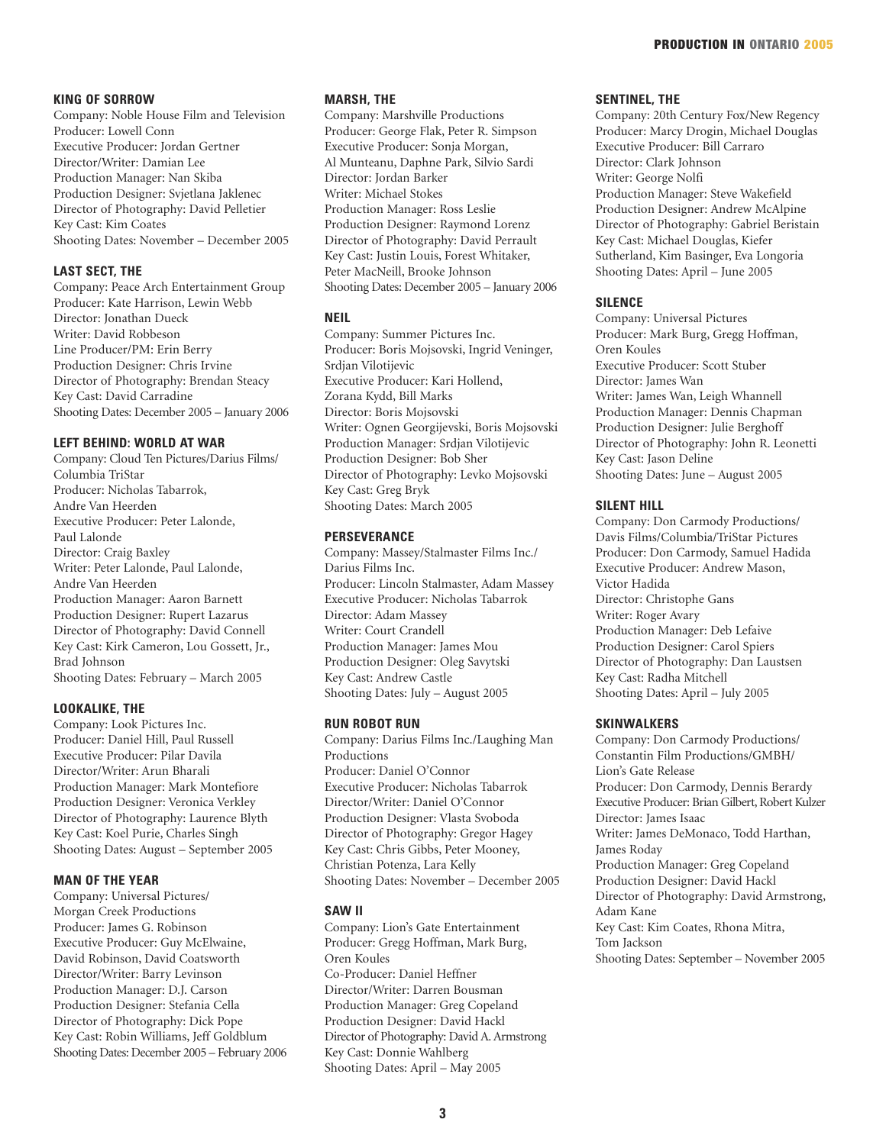#### **KING OF SORROW**

Company: Noble House Film and Television Producer: Lowell Conn Executive Producer: Jordan Gertner Director/Writer: Damian Lee Production Manager: Nan Skiba Production Designer: Svjetlana Jaklenec Director of Photography: David Pelletier Key Cast: Kim Coates Shooting Dates: November – December 2005

# **LAST SECT, THE**

Company: Peace Arch Entertainment Group Producer: Kate Harrison, Lewin Webb Director: Jonathan Dueck Writer: David Robbeson Line Producer/PM: Erin Berry Production Designer: Chris Irvine Director of Photography: Brendan Steacy Key Cast: David Carradine Shooting Dates: December 2005 – January 2006

#### **LEFT BEHIND: WORLD AT WAR**

Company: Cloud Ten Pictures/Darius Films/ Columbia TriStar Producer: Nicholas Tabarrok, Andre Van Heerden Executive Producer: Peter Lalonde, Paul Lalonde Director: Craig Baxley Writer: Peter Lalonde, Paul Lalonde, Andre Van Heerden Production Manager: Aaron Barnett Production Designer: Rupert Lazarus Director of Photography: David Connell Key Cast: Kirk Cameron, Lou Gossett, Jr., Brad Johnson Shooting Dates: February – March 2005

# **LOOKALIKE, THE**

Company: Look Pictures Inc. Producer: Daniel Hill, Paul Russell Executive Producer: Pilar Davila Director/Writer: Arun Bharali Production Manager: Mark Montefiore Production Designer: Veronica Verkley Director of Photography: Laurence Blyth Key Cast: Koel Purie, Charles Singh Shooting Dates: August – September 2005

# **MAN OF THE YEAR**

Company: Universal Pictures/ Morgan Creek Productions Producer: James G. Robinson Executive Producer: Guy McElwaine, David Robinson, David Coatsworth Director/Writer: Barry Levinson Production Manager: D.J. Carson Production Designer: Stefania Cella Director of Photography: Dick Pope Key Cast: Robin Williams, Jeff Goldblum Shooting Dates: December 2005 – February 2006

#### **MARSH, THE**

Company: Marshville Productions Producer: George Flak, Peter R. Simpson Executive Producer: Sonja Morgan, Al Munteanu, Daphne Park, Silvio Sardi Director: Jordan Barker Writer: Michael Stokes Production Manager: Ross Leslie Production Designer: Raymond Lorenz Director of Photography: David Perrault Key Cast: Justin Louis, Forest Whitaker, Peter MacNeill, Brooke Johnson Shooting Dates: December 2005 – January 2006

# **NEIL**

Company: Summer Pictures Inc. Producer: Boris Mojsovski, Ingrid Veninger, Srdjan Vilotijevic Executive Producer: Kari Hollend, Zorana Kydd, Bill Marks Director: Boris Mojsovski Writer: Ognen Georgijevski, Boris Mojsovski Production Manager: Srdjan Vilotijevic Production Designer: Bob Sher Director of Photography: Levko Mojsovski Key Cast: Greg Bryk Shooting Dates: March 2005

#### **PERSEVERANCE**

Company: Massey/Stalmaster Films Inc./ Darius Films Inc. Producer: Lincoln Stalmaster, Adam Massey Executive Producer: Nicholas Tabarrok Director: Adam Massey Writer: Court Crandell Production Manager: James Mou Production Designer: Oleg Savytski Key Cast: Andrew Castle Shooting Dates: July – August 2005

# **RUN ROBOT RUN**

Company: Darius Films Inc./Laughing Man Productions Producer: Daniel O'Connor Executive Producer: Nicholas Tabarrok Director/Writer: Daniel O'Connor Production Designer: Vlasta Svoboda Director of Photography: Gregor Hagey Key Cast: Chris Gibbs, Peter Mooney, Christian Potenza, Lara Kelly Shooting Dates: November – December 2005

#### **SAW II**

Company: Lion's Gate Entertainment Producer: Gregg Hoffman, Mark Burg, Oren Koules Co-Producer: Daniel Heffner Director/Writer: Darren Bousman Production Manager: Greg Copeland Production Designer: David Hackl Director of Photography: David A. Armstrong Key Cast: Donnie Wahlberg Shooting Dates: April – May 2005

#### **SENTINEL, THE**

Company: 20th Century Fox/New Regency Producer: Marcy Drogin, Michael Douglas Executive Producer: Bill Carraro Director: Clark Johnson Writer: George Nolfi Production Manager: Steve Wakefield Production Designer: Andrew McAlpine Director of Photography: Gabriel Beristain Key Cast: Michael Douglas, Kiefer Sutherland, Kim Basinger, Eva Longoria Shooting Dates: April – June 2005

#### **SILENCE**

Company: Universal Pictures Producer: Mark Burg, Gregg Hoffman, Oren Koules Executive Producer: Scott Stuber Director: James Wan Writer: James Wan, Leigh Whannell Production Manager: Dennis Chapman Production Designer: Julie Berghoff Director of Photography: John R. Leonetti Key Cast: Jason Deline Shooting Dates: June – August 2005

# **SILENT HILL**

Company: Don Carmody Productions/ Davis Films/Columbia/TriStar Pictures Producer: Don Carmody, Samuel Hadida Executive Producer: Andrew Mason, Victor Hadida Director: Christophe Gans Writer: Roger Avary Production Manager: Deb Lefaive Production Designer: Carol Spiers Director of Photography: Dan Laustsen Key Cast: Radha Mitchell Shooting Dates: April – July 2005

## **SKINWALKERS**

Company: Don Carmody Productions/ Constantin Film Productions/GMBH/ Lion's Gate Release Producer: Don Carmody, Dennis Berardy Executive Producer: Brian Gilbert, Robert Kulzer Director: James Isaac Writer: James DeMonaco, Todd Harthan, James Roday Production Manager: Greg Copeland Production Designer: David Hackl Director of Photography: David Armstrong, Adam Kane Key Cast: Kim Coates, Rhona Mitra, Tom Jackson Shooting Dates: September – November 2005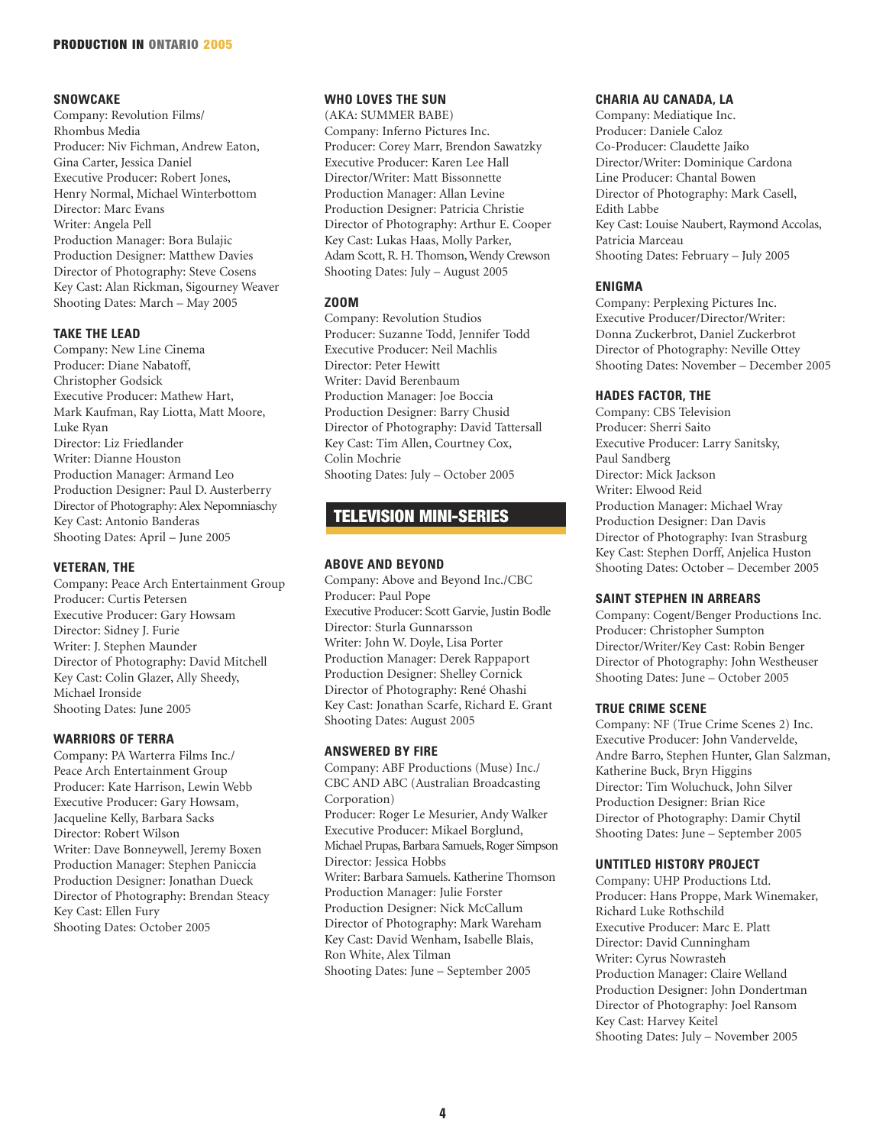# **SNOWCAKE**

Company: Revolution Films/ Rhombus Media Producer: Niv Fichman, Andrew Eaton, Gina Carter, Jessica Daniel Executive Producer: Robert Jones, Henry Normal, Michael Winterbottom Director: Marc Evans Writer: Angela Pell Production Manager: Bora Bulajic Production Designer: Matthew Davies Director of Photography: Steve Cosens Key Cast: Alan Rickman, Sigourney Weaver Shooting Dates: March – May 2005

# **TAKE THE LEAD**

Company: New Line Cinema Producer: Diane Nabatoff, Christopher Godsick Executive Producer: Mathew Hart, Mark Kaufman, Ray Liotta, Matt Moore, Luke Ryan Director: Liz Friedlander Writer: Dianne Houston Production Manager: Armand Leo Production Designer: Paul D. Austerberry Director of Photography: Alex Nepomniaschy Key Cast: Antonio Banderas Shooting Dates: April – June 2005

# **VETERAN, THE**

Company: Peace Arch Entertainment Group Producer: Curtis Petersen Executive Producer: Gary Howsam Director: Sidney J. Furie Writer: J. Stephen Maunder Director of Photography: David Mitchell Key Cast: Colin Glazer, Ally Sheedy, Michael Ironside Shooting Dates: June 2005

# **WARRIORS OF TERRA**

Company: PA Warterra Films Inc./ Peace Arch Entertainment Group Producer: Kate Harrison, Lewin Webb Executive Producer: Gary Howsam, Jacqueline Kelly, Barbara Sacks Director: Robert Wilson Writer: Dave Bonneywell, Jeremy Boxen Production Manager: Stephen Paniccia Production Designer: Jonathan Dueck Director of Photography: Brendan Steacy Key Cast: Ellen Fury Shooting Dates: October 2005

# **WHO LOVES THE SUN**

(AKA: SUMMER BABE) Company: Inferno Pictures Inc. Producer: Corey Marr, Brendon Sawatzky Executive Producer: Karen Lee Hall Director/Writer: Matt Bissonnette Production Manager: Allan Levine Production Designer: Patricia Christie Director of Photography: Arthur E. Cooper Key Cast: Lukas Haas, Molly Parker, Adam Scott, R. H. Thomson, Wendy Crewson Shooting Dates: July – August 2005

# **ZOOM**

Company: Revolution Studios Producer: Suzanne Todd, Jennifer Todd Executive Producer: Neil Machlis Director: Peter Hewitt Writer: David Berenbaum Production Manager: Joe Boccia Production Designer: Barry Chusid Director of Photography: David Tattersall Key Cast: Tim Allen, Courtney Cox, Colin Mochrie Shooting Dates: July – October 2005

# TELEVISION MINI-SERIES

# **ABOVE AND BEYOND**

Company: Above and Beyond Inc./CBC Producer: Paul Pope Executive Producer: Scott Garvie, Justin Bodle Director: Sturla Gunnarsson Writer: John W. Doyle, Lisa Porter Production Manager: Derek Rappaport Production Designer: Shelley Cornick Director of Photography: René Ohashi Key Cast: Jonathan Scarfe, Richard E. Grant Shooting Dates: August 2005

#### **ANSWERED BY FIRE**

Company: ABF Productions (Muse) Inc./ CBC AND ABC (Australian Broadcasting Corporation) Producer: Roger Le Mesurier, Andy Walker Executive Producer: Mikael Borglund, Michael Prupas, Barbara Samuels, Roger Simpson Director: Jessica Hobbs Writer: Barbara Samuels. Katherine Thomson Production Manager: Julie Forster Production Designer: Nick McCallum Director of Photography: Mark Wareham Key Cast: David Wenham, Isabelle Blais, Ron White, Alex Tilman Shooting Dates: June – September 2005

# **CHARIA AU CANADA, LA**

Company: Mediatique Inc. Producer: Daniele Caloz Co-Producer: Claudette Jaiko Director/Writer: Dominique Cardona Line Producer: Chantal Bowen Director of Photography: Mark Casell, Edith Labbe Key Cast: Louise Naubert, Raymond Accolas, Patricia Marceau Shooting Dates: February – July 2005

# **ENIGMA**

Company: Perplexing Pictures Inc. Executive Producer/Director/Writer: Donna Zuckerbrot, Daniel Zuckerbrot Director of Photography: Neville Ottey Shooting Dates: November – December 2005

# **HADES FACTOR, THE**

Company: CBS Television Producer: Sherri Saito Executive Producer: Larry Sanitsky, Paul Sandberg Director: Mick Jackson Writer: Elwood Reid Production Manager: Michael Wray Production Designer: Dan Davis Director of Photography: Ivan Strasburg Key Cast: Stephen Dorff, Anjelica Huston Shooting Dates: October – December 2005

#### **SAINT STEPHEN IN ARREARS**

Company: Cogent/Benger Productions Inc. Producer: Christopher Sumpton Director/Writer/Key Cast: Robin Benger Director of Photography: John Westheuser Shooting Dates: June – October 2005

#### **TRUE CRIME SCENE**

Company: NF (True Crime Scenes 2) Inc. Executive Producer: John Vandervelde, Andre Barro, Stephen Hunter, Glan Salzman, Katherine Buck, Bryn Higgins Director: Tim Woluchuck, John Silver Production Designer: Brian Rice Director of Photography: Damir Chytil Shooting Dates: June – September 2005

#### **UNTITLED HISTORY PROJECT**

Company: UHP Productions Ltd. Producer: Hans Proppe, Mark Winemaker, Richard Luke Rothschild Executive Producer: Marc E. Platt Director: David Cunningham Writer: Cyrus Nowrasteh Production Manager: Claire Welland Production Designer: John Dondertman Director of Photography: Joel Ransom Key Cast: Harvey Keitel Shooting Dates: July – November 2005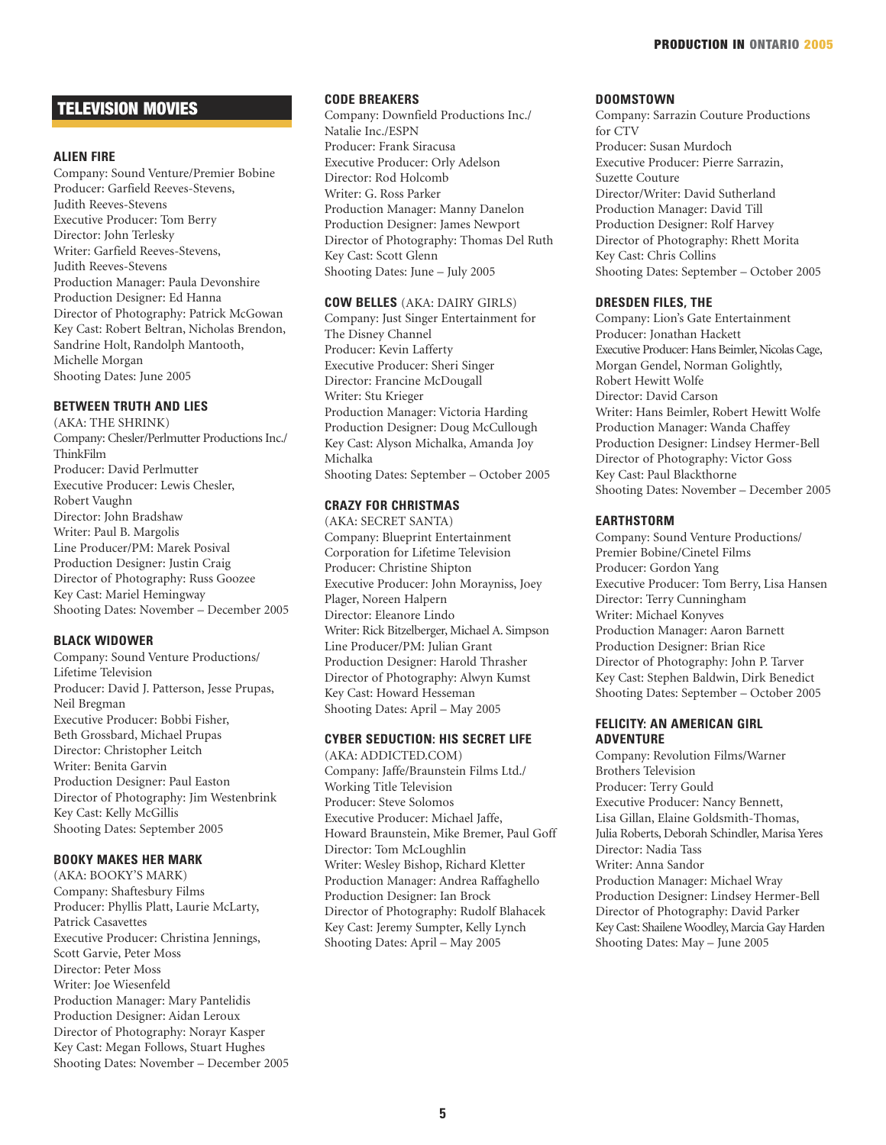# TELEVISION MOVIES

#### **ALIEN FIRE**

Company: Sound Venture/Premier Bobine Producer: Garfield Reeves-Stevens, Judith Reeves-Stevens Executive Producer: Tom Berry Director: John Terlesky Writer: Garfield Reeves-Stevens, Judith Reeves-Stevens Production Manager: Paula Devonshire Production Designer: Ed Hanna Director of Photography: Patrick McGowan Key Cast: Robert Beltran, Nicholas Brendon, Sandrine Holt, Randolph Mantooth, Michelle Morgan Shooting Dates: June 2005

# **BETWEEN TRUTH AND LIES**

(AKA: THE SHRINK) Company: Chesler/Perlmutter Productions Inc./ ThinkFilm Producer: David Perlmutter Executive Producer: Lewis Chesler, Robert Vaughn Director: John Bradshaw Writer: Paul B. Margolis Line Producer/PM: Marek Posival Production Designer: Justin Craig Director of Photography: Russ Goozee Key Cast: Mariel Hemingway Shooting Dates: November – December 2005

#### **BLACK WIDOWER**

Company: Sound Venture Productions/ Lifetime Television Producer: David J. Patterson, Jesse Prupas, Neil Bregman Executive Producer: Bobbi Fisher, Beth Grossbard, Michael Prupas Director: Christopher Leitch Writer: Benita Garvin Production Designer: Paul Easton Director of Photography: Jim Westenbrink Key Cast: Kelly McGillis Shooting Dates: September 2005

# **BOOKY MAKES HER MARK**

(AKA: BOOKY'S MARK) Company: Shaftesbury Films Producer: Phyllis Platt, Laurie McLarty, Patrick Casavettes Executive Producer: Christina Jennings, Scott Garvie, Peter Moss Director: Peter Moss Writer: Joe Wiesenfeld Production Manager: Mary Pantelidis Production Designer: Aidan Leroux Director of Photography: Norayr Kasper Key Cast: Megan Follows, Stuart Hughes Shooting Dates: November – December 2005

#### **CODE BREAKERS**

Company: Downfield Productions Inc./ Natalie Inc./ESPN Producer: Frank Siracusa Executive Producer: Orly Adelson Director: Rod Holcomb Writer: G. Ross Parker Production Manager: Manny Danelon Production Designer: James Newport Director of Photography: Thomas Del Ruth Key Cast: Scott Glenn Shooting Dates: June – July 2005

# **COW BELLES** (AKA: DAIRY GIRLS)

Company: Just Singer Entertainment for The Disney Channel Producer: Kevin Lafferty Executive Producer: Sheri Singer Director: Francine McDougall Writer: Stu Krieger Production Manager: Victoria Harding Production Designer: Doug McCullough Key Cast: Alyson Michalka, Amanda Joy Michalka Shooting Dates: September – October 2005

# **CRAZY FOR CHRISTMAS**

(AKA: SECRET SANTA) Company: Blueprint Entertainment Corporation for Lifetime Television Producer: Christine Shipton Executive Producer: John Morayniss, Joey Plager, Noreen Halpern Director: Eleanore Lindo Writer: Rick Bitzelberger, Michael A. Simpson Line Producer/PM: Julian Grant Production Designer: Harold Thrasher Director of Photography: Alwyn Kumst Key Cast: Howard Hesseman Shooting Dates: April – May 2005

# **CYBER SEDUCTION: HIS SECRET LIFE**

(AKA: ADDICTED.COM) Company: Jaffe/Braunstein Films Ltd./ Working Title Television Producer: Steve Solomos Executive Producer: Michael Jaffe, Howard Braunstein, Mike Bremer, Paul Goff Director: Tom McLoughlin Writer: Wesley Bishop, Richard Kletter Production Manager: Andrea Raffaghello Production Designer: Ian Brock Director of Photography: Rudolf Blahacek Key Cast: Jeremy Sumpter, Kelly Lynch Shooting Dates: April – May 2005

#### **DOOMSTOWN**

Company: Sarrazin Couture Productions for CTV Producer: Susan Murdoch Executive Producer: Pierre Sarrazin, Suzette Couture Director/Writer: David Sutherland Production Manager: David Till Production Designer: Rolf Harvey Director of Photography: Rhett Morita Key Cast: Chris Collins Shooting Dates: September – October 2005

# **DRESDEN FILES, THE**

Company: Lion's Gate Entertainment Producer: Jonathan Hackett Executive Producer: Hans Beimler, Nicolas Cage, Morgan Gendel, Norman Golightly, Robert Hewitt Wolfe Director: David Carson Writer: Hans Beimler, Robert Hewitt Wolfe Production Manager: Wanda Chaffey Production Designer: Lindsey Hermer-Bell Director of Photography: Victor Goss Key Cast: Paul Blackthorne Shooting Dates: November – December 2005

#### **EARTHSTORM**

Company: Sound Venture Productions/ Premier Bobine/Cinetel Films Producer: Gordon Yang Executive Producer: Tom Berry, Lisa Hansen Director: Terry Cunningham Writer: Michael Konyves Production Manager: Aaron Barnett Production Designer: Brian Rice Director of Photography: John P. Tarver Key Cast: Stephen Baldwin, Dirk Benedict Shooting Dates: September – October 2005

# **FELICITY: AN AMERICAN GIRL ADVENTURE**

Company: Revolution Films/Warner Brothers Television Producer: Terry Gould Executive Producer: Nancy Bennett, Lisa Gillan, Elaine Goldsmith-Thomas, Julia Roberts, Deborah Schindler, Marisa Yeres Director: Nadia Tass Writer: Anna Sandor Production Manager: Michael Wray Production Designer: Lindsey Hermer-Bell Director of Photography: David Parker Key Cast: Shailene Woodley, Marcia Gay Harden Shooting Dates: May – June 2005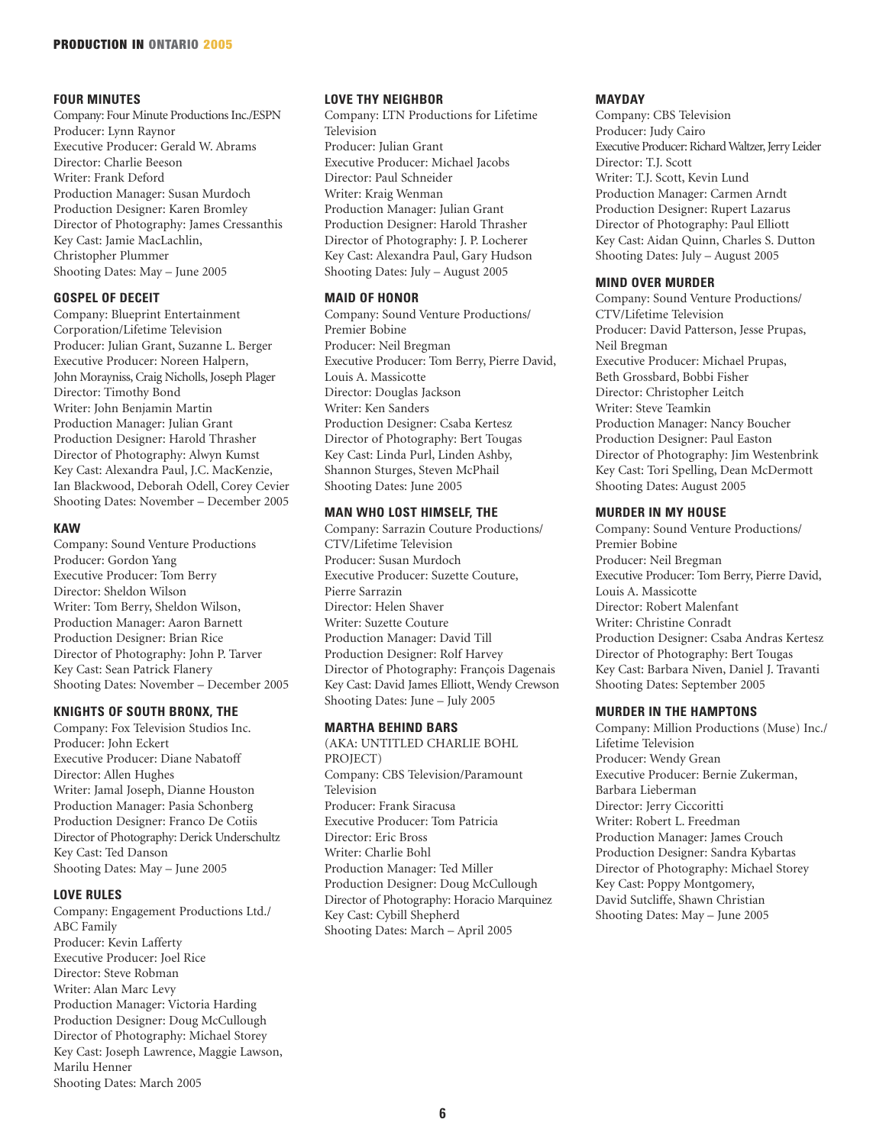# **FOUR MINUTES**

Company: Four Minute Productions Inc./ESPN Producer: Lynn Raynor Executive Producer: Gerald W. Abrams Director: Charlie Beeson Writer: Frank Deford Production Manager: Susan Murdoch Production Designer: Karen Bromley Director of Photography: James Cressanthis Key Cast: Jamie MacLachlin, Christopher Plummer Shooting Dates: May – June 2005

# **GOSPEL OF DECEIT**

Company: Blueprint Entertainment Corporation/Lifetime Television Producer: Julian Grant, Suzanne L. Berger Executive Producer: Noreen Halpern, John Morayniss, Craig Nicholls, Joseph Plager Director: Timothy Bond Writer: John Benjamin Martin Production Manager: Julian Grant Production Designer: Harold Thrasher Director of Photography: Alwyn Kumst Key Cast: Alexandra Paul, J.C. MacKenzie, Ian Blackwood, Deborah Odell, Corey Cevier Shooting Dates: November – December 2005

# **KAW**

Company: Sound Venture Productions Producer: Gordon Yang Executive Producer: Tom Berry Director: Sheldon Wilson Writer: Tom Berry, Sheldon Wilson, Production Manager: Aaron Barnett Production Designer: Brian Rice Director of Photography: John P. Tarver Key Cast: Sean Patrick Flanery Shooting Dates: November – December 2005

#### **KNIGHTS OF SOUTH BRONX, THE**

Company: Fox Television Studios Inc. Producer: John Eckert Executive Producer: Diane Nabatoff Director: Allen Hughes Writer: Jamal Joseph, Dianne Houston Production Manager: Pasia Schonberg Production Designer: Franco De Cotiis Director of Photography: Derick Underschultz Key Cast: Ted Danson Shooting Dates: May – June 2005

# **LOVE RULES**

Company: Engagement Productions Ltd./ ABC Family Producer: Kevin Lafferty Executive Producer: Joel Rice Director: Steve Robman Writer: Alan Marc Levy Production Manager: Victoria Harding Production Designer: Doug McCullough Director of Photography: Michael Storey Key Cast: Joseph Lawrence, Maggie Lawson, Marilu Henner Shooting Dates: March 2005

#### **LOVE THY NEIGHBOR**

Company: LTN Productions for Lifetime Television Producer: Julian Grant Executive Producer: Michael Jacobs Director: Paul Schneider Writer: Kraig Wenman Production Manager: Julian Grant Production Designer: Harold Thrasher Director of Photography: J. P. Locherer Key Cast: Alexandra Paul, Gary Hudson Shooting Dates: July – August 2005

# **MAID OF HONOR**

Company: Sound Venture Productions/ Premier Bobine Producer: Neil Bregman Executive Producer: Tom Berry, Pierre David, Louis A. Massicotte Director: Douglas Jackson Writer: Ken Sanders Production Designer: Csaba Kertesz Director of Photography: Bert Tougas Key Cast: Linda Purl, Linden Ashby, Shannon Sturges, Steven McPhail Shooting Dates: June 2005

# **MAN WHO LOST HIMSELF, THE**

Company: Sarrazin Couture Productions/ CTV/Lifetime Television Producer: Susan Murdoch Executive Producer: Suzette Couture, Pierre Sarrazin Director: Helen Shaver Writer: Suzette Couture Production Manager: David Till Production Designer: Rolf Harvey Director of Photography: François Dagenais Key Cast: David James Elliott, Wendy Crewson Shooting Dates: June – July 2005

#### **MARTHA BEHIND BARS**

(AKA: UNTITLED CHARLIE BOHL PROJECT) Company: CBS Television/Paramount Television Producer: Frank Siracusa Executive Producer: Tom Patricia Director: Eric Bross Writer: Charlie Bohl Production Manager: Ted Miller Production Designer: Doug McCullough Director of Photography: Horacio Marquinez Key Cast: Cybill Shepherd Shooting Dates: March – April 2005

# **MAYDAY**

Company: CBS Television Producer: Judy Cairo Executive Producer: Richard Waltzer, Jerry Leider Director: T.J. Scott Writer: T.J. Scott, Kevin Lund Production Manager: Carmen Arndt Production Designer: Rupert Lazarus Director of Photography: Paul Elliott Key Cast: Aidan Quinn, Charles S. Dutton Shooting Dates: July – August 2005

# **MIND OVER MURDER**

Company: Sound Venture Productions/ CTV/Lifetime Television Producer: David Patterson, Jesse Prupas, Neil Bregman Executive Producer: Michael Prupas, Beth Grossbard, Bobbi Fisher Director: Christopher Leitch Writer: Steve Teamkin Production Manager: Nancy Boucher Production Designer: Paul Easton Director of Photography: Jim Westenbrink Key Cast: Tori Spelling, Dean McDermott Shooting Dates: August 2005

# **MURDER IN MY HOUSE**

Company: Sound Venture Productions/ Premier Bobine Producer: Neil Bregman Executive Producer: Tom Berry, Pierre David, Louis A. Massicotte Director: Robert Malenfant Writer: Christine Conradt Production Designer: Csaba Andras Kertesz Director of Photography: Bert Tougas Key Cast: Barbara Niven, Daniel J. Travanti Shooting Dates: September 2005

#### **MURDER IN THE HAMPTONS**

Company: Million Productions (Muse) Inc./ Lifetime Television Producer: Wendy Grean Executive Producer: Bernie Zukerman, Barbara Lieberman Director: Jerry Ciccoritti Writer: Robert L. Freedman Production Manager: James Crouch Production Designer: Sandra Kybartas Director of Photography: Michael Storey Key Cast: Poppy Montgomery, David Sutcliffe, Shawn Christian Shooting Dates: May – June 2005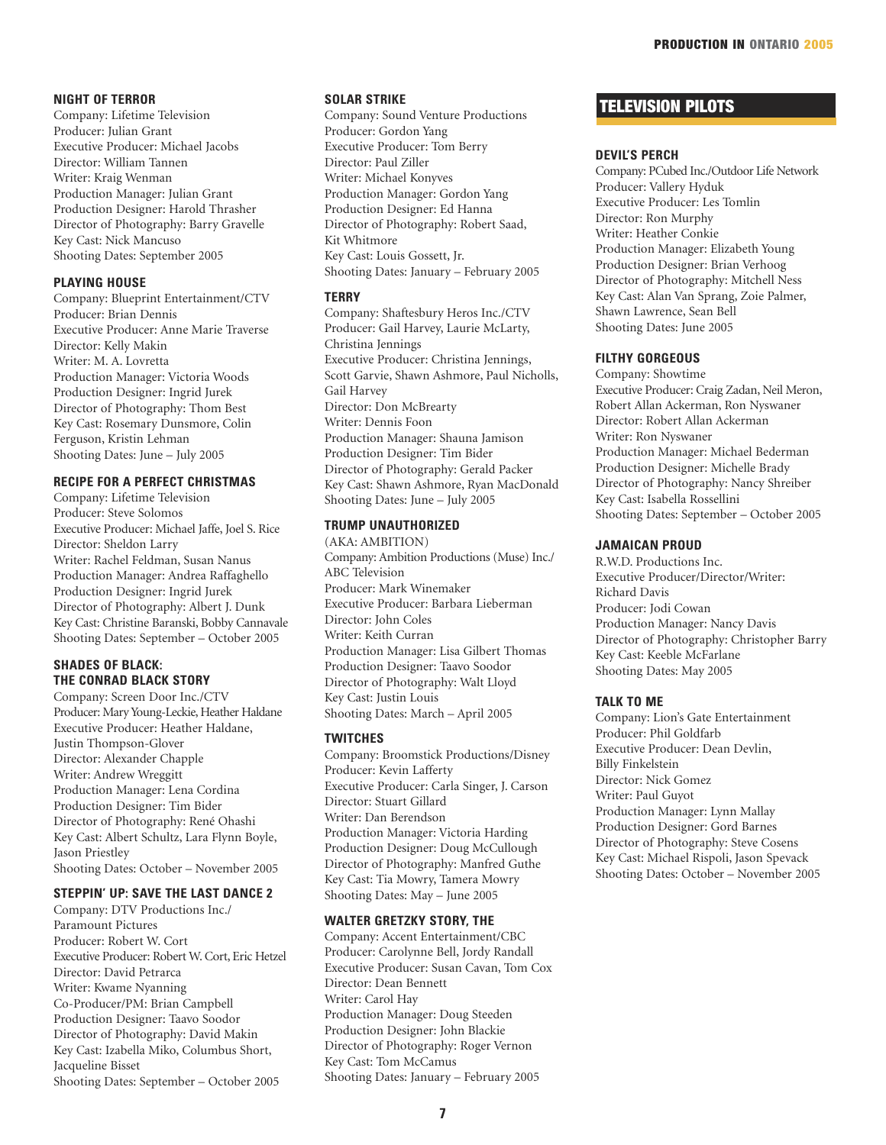#### **NIGHT OF TERROR**

Company: Lifetime Television Producer: Julian Grant Executive Producer: Michael Jacobs Director: William Tannen Writer: Kraig Wenman Production Manager: Julian Grant Production Designer: Harold Thrasher Director of Photography: Barry Gravelle Key Cast: Nick Mancuso Shooting Dates: September 2005

# **PLAYING HOUSE**

Company: Blueprint Entertainment/CTV Producer: Brian Dennis Executive Producer: Anne Marie Traverse Director: Kelly Makin Writer: M. A. Lovretta Production Manager: Victoria Woods Production Designer: Ingrid Jurek Director of Photography: Thom Best Key Cast: Rosemary Dunsmore, Colin Ferguson, Kristin Lehman Shooting Dates: June – July 2005

# **RECIPE FOR A PERFECT CHRISTMAS**

Company: Lifetime Television Producer: Steve Solomos Executive Producer: Michael Jaffe, Joel S. Rice Director: Sheldon Larry Writer: Rachel Feldman, Susan Nanus Production Manager: Andrea Raffaghello Production Designer: Ingrid Jurek Director of Photography: Albert J. Dunk Key Cast: Christine Baranski, Bobby Cannavale Shooting Dates: September – October 2005

#### **SHADES OF BLACK: THE CONRAD BLACK STORY**

Company: Screen Door Inc./CTV Producer: Mary Young-Leckie, Heather Haldane Executive Producer: Heather Haldane, Justin Thompson-Glover Director: Alexander Chapple Writer: Andrew Wreggitt Production Manager: Lena Cordina Production Designer: Tim Bider Director of Photography: René Ohashi Key Cast: Albert Schultz, Lara Flynn Boyle, Jason Priestley Shooting Dates: October – November 2005

#### **STEPPIN' UP: SAVE THE LAST DANCE 2**

Company: DTV Productions Inc./ Paramount Pictures Producer: Robert W. Cort Executive Producer: Robert W. Cort, Eric Hetzel Director: David Petrarca Writer: Kwame Nyanning Co-Producer/PM: Brian Campbell Production Designer: Taavo Soodor Director of Photography: David Makin Key Cast: Izabella Miko, Columbus Short, Jacqueline Bisset Shooting Dates: September – October 2005

#### **SOLAR STRIKE**

Company: Sound Venture Productions Producer: Gordon Yang Executive Producer: Tom Berry Director: Paul Ziller Writer: Michael Konyves Production Manager: Gordon Yang Production Designer: Ed Hanna Director of Photography: Robert Saad, Kit Whitmore Key Cast: Louis Gossett, Jr. Shooting Dates: January – February 2005

#### **TERRY**

Company: Shaftesbury Heros Inc./CTV Producer: Gail Harvey, Laurie McLarty, Christina Jennings Executive Producer: Christina Jennings, Scott Garvie, Shawn Ashmore, Paul Nicholls, Gail Harvey Director: Don McBrearty Writer: Dennis Foon Production Manager: Shauna Jamison Production Designer: Tim Bider Director of Photography: Gerald Packer Key Cast: Shawn Ashmore, Ryan MacDonald Shooting Dates: June – July 2005

# **TRUMP UNAUTHORIZED**

(AKA: AMBITION) Company: Ambition Productions (Muse) Inc./ ABC Television Producer: Mark Winemaker Executive Producer: Barbara Lieberman Director: John Coles Writer: Keith Curran Production Manager: Lisa Gilbert Thomas Production Designer: Taavo Soodor Director of Photography: Walt Lloyd Key Cast: Justin Louis Shooting Dates: March – April 2005

# **TWITCHES**

Company: Broomstick Productions/Disney Producer: Kevin Lafferty Executive Producer: Carla Singer, J. Carson Director: Stuart Gillard Writer: Dan Berendson Production Manager: Victoria Harding Production Designer: Doug McCullough Director of Photography: Manfred Guthe Key Cast: Tia Mowry, Tamera Mowry Shooting Dates: May – June 2005

## **WALTER GRETZKY STORY, THE**

Company: Accent Entertainment/CBC Producer: Carolynne Bell, Jordy Randall Executive Producer: Susan Cavan, Tom Cox Director: Dean Bennett Writer: Carol Hay Production Manager: Doug Steeden Production Designer: John Blackie Director of Photography: Roger Vernon Key Cast: Tom McCamus Shooting Dates: January – February 2005

# TELEVISION PILOTS

#### **DEVIL'S PERCH**

Company: PCubed Inc./Outdoor Life Network Producer: Vallery Hyduk Executive Producer: Les Tomlin Director: Ron Murphy Writer: Heather Conkie Production Manager: Elizabeth Young Production Designer: Brian Verhoog Director of Photography: Mitchell Ness Key Cast: Alan Van Sprang, Zoie Palmer, Shawn Lawrence, Sean Bell Shooting Dates: June 2005

#### **FILTHY GORGEOUS**

Company: Showtime Executive Producer: Craig Zadan, Neil Meron, Robert Allan Ackerman, Ron Nyswaner Director: Robert Allan Ackerman Writer: Ron Nyswaner Production Manager: Michael Bederman Production Designer: Michelle Brady Director of Photography: Nancy Shreiber Key Cast: Isabella Rossellini Shooting Dates: September – October 2005

#### **JAMAICAN PROUD**

R.W.D. Productions Inc. Executive Producer/Director/Writer: Richard Davis Producer: Jodi Cowan Production Manager: Nancy Davis Director of Photography: Christopher Barry Key Cast: Keeble McFarlane Shooting Dates: May 2005

#### **TALK TO ME**

Company: Lion's Gate Entertainment Producer: Phil Goldfarb Executive Producer: Dean Devlin, Billy Finkelstein Director: Nick Gomez Writer: Paul Guyot Production Manager: Lynn Mallay Production Designer: Gord Barnes Director of Photography: Steve Cosens Key Cast: Michael Rispoli, Jason Spevack Shooting Dates: October – November 2005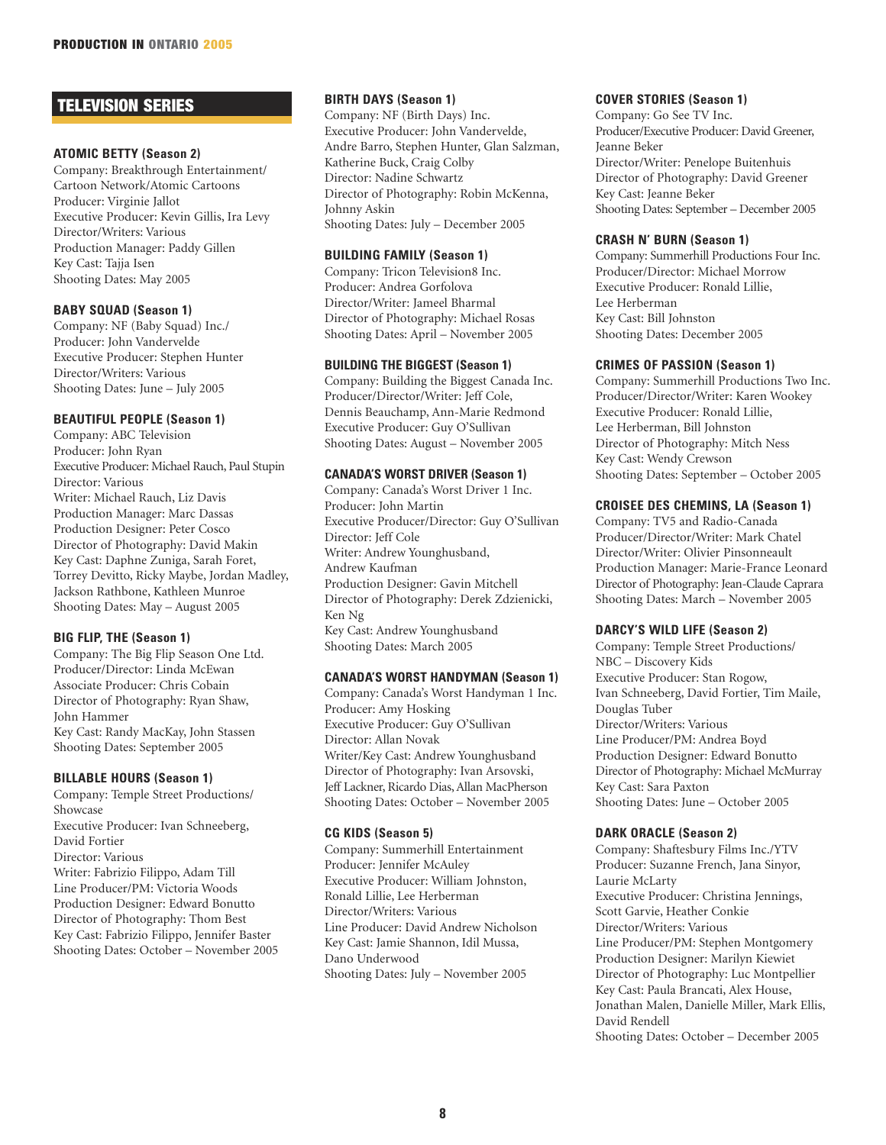# TELEVISION SERIES

# **ATOMIC BETTY (Season 2)**

Company: Breakthrough Entertainment/ Cartoon Network/Atomic Cartoons Producer: Virginie Jallot Executive Producer: Kevin Gillis, Ira Levy Director/Writers: Various Production Manager: Paddy Gillen Key Cast: Tajja Isen Shooting Dates: May 2005

# **BABY SQUAD (Season 1)**

Company: NF (Baby Squad) Inc./ Producer: John Vandervelde Executive Producer: Stephen Hunter Director/Writers: Various Shooting Dates: June – July 2005

#### **BEAUTIFUL PEOPLE (Season 1)**

Company: ABC Television Producer: John Ryan Executive Producer: Michael Rauch, Paul Stupin Director: Various Writer: Michael Rauch, Liz Davis Production Manager: Marc Dassas Production Designer: Peter Cosco Director of Photography: David Makin Key Cast: Daphne Zuniga, Sarah Foret, Torrey Devitto, Ricky Maybe, Jordan Madley, Jackson Rathbone, Kathleen Munroe Shooting Dates: May – August 2005

# **BIG FLIP, THE (Season 1)**

Company: The Big Flip Season One Ltd. Producer/Director: Linda McEwan Associate Producer: Chris Cobain Director of Photography: Ryan Shaw, John Hammer Key Cast: Randy MacKay, John Stassen Shooting Dates: September 2005

#### **BILLABLE HOURS (Season 1)**

Company: Temple Street Productions/ Showcase Executive Producer: Ivan Schneeberg, David Fortier Director: Various Writer: Fabrizio Filippo, Adam Till Line Producer/PM: Victoria Woods Production Designer: Edward Bonutto Director of Photography: Thom Best Key Cast: Fabrizio Filippo, Jennifer Baster Shooting Dates: October – November 2005

# **BIRTH DAYS (Season 1)**

Company: NF (Birth Days) Inc. Executive Producer: John Vandervelde, Andre Barro, Stephen Hunter, Glan Salzman, Katherine Buck, Craig Colby Director: Nadine Schwartz Director of Photography: Robin McKenna, Johnny Askin Shooting Dates: July – December 2005

# **BUILDING FAMILY (Season 1)**

Company: Tricon Television8 Inc. Producer: Andrea Gorfolova Director/Writer: Jameel Bharmal Director of Photography: Michael Rosas Shooting Dates: April – November 2005

#### **BUILDING THE BIGGEST (Season 1)**

Company: Building the Biggest Canada Inc. Producer/Director/Writer: Jeff Cole, Dennis Beauchamp, Ann-Marie Redmond Executive Producer: Guy O'Sullivan Shooting Dates: August – November 2005

#### **CANADA'S WORST DRIVER (Season 1)**

Company: Canada's Worst Driver 1 Inc. Producer: John Martin Executive Producer/Director: Guy O'Sullivan Director: Jeff Cole Writer: Andrew Younghusband, Andrew Kaufman Production Designer: Gavin Mitchell Director of Photography: Derek Zdzienicki, Ken Ng Key Cast: Andrew Younghusband Shooting Dates: March 2005

# **CANADA'S WORST HANDYMAN (Season 1)**

Company: Canada's Worst Handyman 1 Inc. Producer: Amy Hosking Executive Producer: Guy O'Sullivan Director: Allan Novak Writer/Key Cast: Andrew Younghusband Director of Photography: Ivan Arsovski, Jeff Lackner, Ricardo Dias, Allan MacPherson Shooting Dates: October – November 2005

# **CG KIDS (Season 5)**

Company: Summerhill Entertainment Producer: Jennifer McAuley Executive Producer: William Johnston, Ronald Lillie, Lee Herberman Director/Writers: Various Line Producer: David Andrew Nicholson Key Cast: Jamie Shannon, Idil Mussa, Dano Underwood Shooting Dates: July – November 2005

# **COVER STORIES (Season 1)**

Company: Go See TV Inc. Producer/Executive Producer: David Greener, Jeanne Beker Director/Writer: Penelope Buitenhuis Director of Photography: David Greener Key Cast: Jeanne Beker Shooting Dates: September – December 2005

#### **CRASH N' BURN (Season 1)**

Company: Summerhill Productions Four Inc. Producer/Director: Michael Morrow Executive Producer: Ronald Lillie, Lee Herberman Key Cast: Bill Johnston Shooting Dates: December 2005

# **CRIMES OF PASSION (Season 1)**

Company: Summerhill Productions Two Inc. Producer/Director/Writer: Karen Wookey Executive Producer: Ronald Lillie, Lee Herberman, Bill Johnston Director of Photography: Mitch Ness Key Cast: Wendy Crewson Shooting Dates: September – October 2005

# **CROISEE DES CHEMINS, LA (Season 1)**

Company: TV5 and Radio-Canada Producer/Director/Writer: Mark Chatel Director/Writer: Olivier Pinsonneault Production Manager: Marie-France Leonard Director of Photography: Jean-Claude Caprara Shooting Dates: March – November 2005

# **DARCY'S WILD LIFE (Season 2)**

Company: Temple Street Productions/ NBC – Discovery Kids Executive Producer: Stan Rogow, Ivan Schneeberg, David Fortier, Tim Maile, Douglas Tuber Director/Writers: Various Line Producer/PM: Andrea Boyd Production Designer: Edward Bonutto Director of Photography: Michael McMurray Key Cast: Sara Paxton Shooting Dates: June – October 2005

# **DARK ORACLE (Season 2)**

Company: Shaftesbury Films Inc./YTV Producer: Suzanne French, Jana Sinyor, Laurie McLarty Executive Producer: Christina Jennings, Scott Garvie, Heather Conkie Director/Writers: Various Line Producer/PM: Stephen Montgomery Production Designer: Marilyn Kiewiet Director of Photography: Luc Montpellier Key Cast: Paula Brancati, Alex House, Jonathan Malen, Danielle Miller, Mark Ellis, David Rendell Shooting Dates: October – December 2005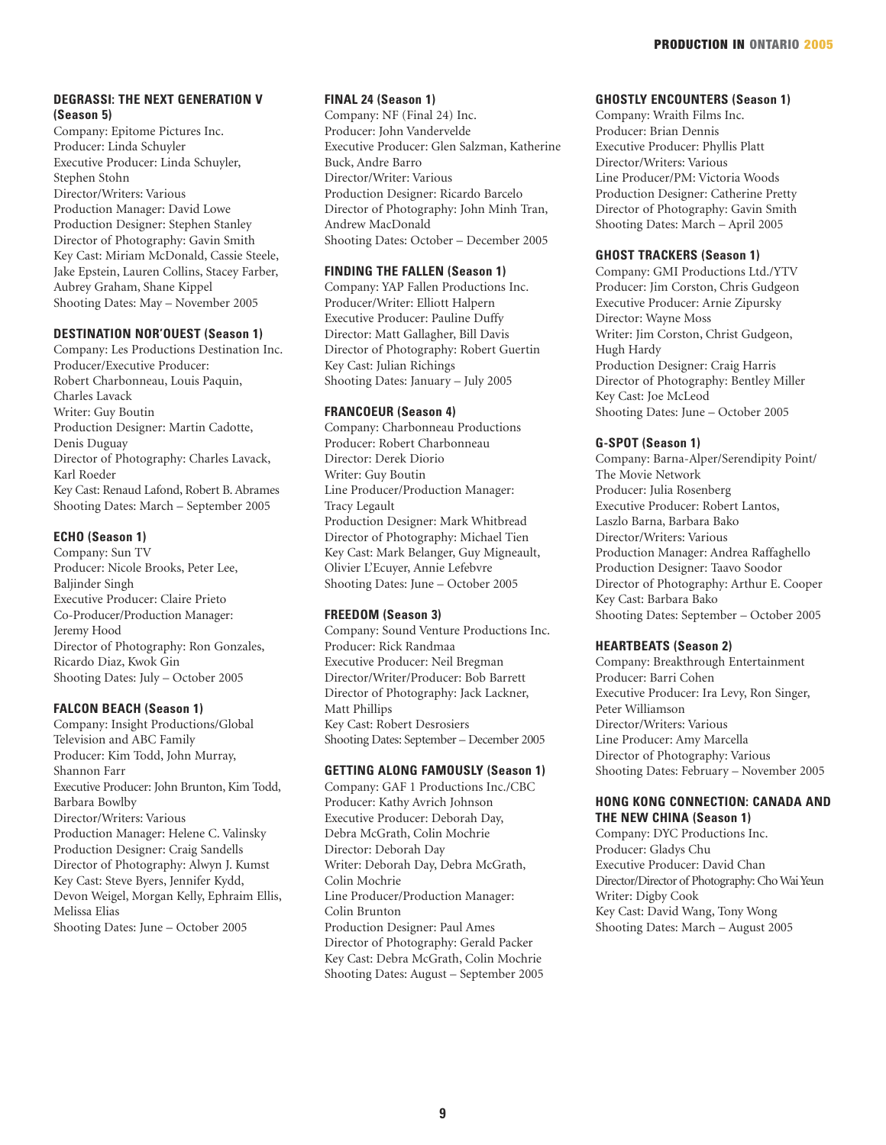# **DEGRASSI: THE NEXT GENERATION V (Season 5)**

Company: Epitome Pictures Inc. Producer: Linda Schuyler Executive Producer: Linda Schuyler, Stephen Stohn Director/Writers: Various Production Manager: David Lowe Production Designer: Stephen Stanley Director of Photography: Gavin Smith Key Cast: Miriam McDonald, Cassie Steele, Jake Epstein, Lauren Collins, Stacey Farber, Aubrey Graham, Shane Kippel Shooting Dates: May – November 2005

# **DESTINATION NOR'OUEST (Season 1)**

Company: Les Productions Destination Inc. Producer/Executive Producer: Robert Charbonneau, Louis Paquin, Charles Lavack Writer: Guy Boutin Production Designer: Martin Cadotte, Denis Duguay Director of Photography: Charles Lavack, Karl Roeder Key Cast: Renaud Lafond, Robert B. Abrames Shooting Dates: March – September 2005

# **ECHO (Season 1)**

Company: Sun TV Producer: Nicole Brooks, Peter Lee, Baljinder Singh Executive Producer: Claire Prieto Co-Producer/Production Manager: Jeremy Hood Director of Photography: Ron Gonzales, Ricardo Diaz, Kwok Gin Shooting Dates: July – October 2005

#### **FALCON BEACH (Season 1)**

Company: Insight Productions/Global Television and ABC Family Producer: Kim Todd, John Murray, Shannon Farr Executive Producer: John Brunton, Kim Todd, Barbara Bowlby Director/Writers: Various Production Manager: Helene C. Valinsky Production Designer: Craig Sandells Director of Photography: Alwyn J. Kumst Key Cast: Steve Byers, Jennifer Kydd, Devon Weigel, Morgan Kelly, Ephraim Ellis, Melissa Elias Shooting Dates: June – October 2005

# **FINAL 24 (Season 1)**

Company: NF (Final 24) Inc. Producer: John Vandervelde Executive Producer: Glen Salzman, Katherine Buck, Andre Barro Director/Writer: Various Production Designer: Ricardo Barcelo Director of Photography: John Minh Tran, Andrew MacDonald Shooting Dates: October – December 2005

# **FINDING THE FALLEN (Season 1)**

Company: YAP Fallen Productions Inc. Producer/Writer: Elliott Halpern Executive Producer: Pauline Duffy Director: Matt Gallagher, Bill Davis Director of Photography: Robert Guertin Key Cast: Julian Richings Shooting Dates: January – July 2005

# **FRANCOEUR (Season 4)**

Company: Charbonneau Productions Producer: Robert Charbonneau Director: Derek Diorio Writer: Guy Boutin Line Producer/Production Manager: Tracy Legault Production Designer: Mark Whitbread Director of Photography: Michael Tien Key Cast: Mark Belanger, Guy Migneault, Olivier L'Ecuyer, Annie Lefebvre Shooting Dates: June – October 2005

# **FREEDOM (Season 3)**

Company: Sound Venture Productions Inc. Producer: Rick Randmaa Executive Producer: Neil Bregman Director/Writer/Producer: Bob Barrett Director of Photography: Jack Lackner, Matt Phillips Key Cast: Robert Desrosiers Shooting Dates: September – December 2005

# **GETTING ALONG FAMOUSLY (Season 1)**

Company: GAF 1 Productions Inc./CBC Producer: Kathy Avrich Johnson Executive Producer: Deborah Day, Debra McGrath, Colin Mochrie Director: Deborah Day Writer: Deborah Day, Debra McGrath, Colin Mochrie Line Producer/Production Manager: Colin Brunton Production Designer: Paul Ames Director of Photography: Gerald Packer Key Cast: Debra McGrath, Colin Mochrie Shooting Dates: August – September 2005

# **GHOSTLY ENCOUNTERS (Season 1)**

Company: Wraith Films Inc. Producer: Brian Dennis Executive Producer: Phyllis Platt Director/Writers: Various Line Producer/PM: Victoria Woods Production Designer: Catherine Pretty Director of Photography: Gavin Smith Shooting Dates: March – April 2005

# **GHOST TRACKERS (Season 1)**

Company: GMI Productions Ltd./YTV Producer: Jim Corston, Chris Gudgeon Executive Producer: Arnie Zipursky Director: Wayne Moss Writer: Jim Corston, Christ Gudgeon, Hugh Hardy Production Designer: Craig Harris Director of Photography: Bentley Miller Key Cast: Joe McLeod Shooting Dates: June – October 2005

# **G-SPOT (Season 1)**

Company: Barna-Alper/Serendipity Point/ The Movie Network Producer: Julia Rosenberg Executive Producer: Robert Lantos, Laszlo Barna, Barbara Bako Director/Writers: Various Production Manager: Andrea Raffaghello Production Designer: Taavo Soodor Director of Photography: Arthur E. Cooper Key Cast: Barbara Bako Shooting Dates: September – October 2005

# **HEARTBEATS (Season 2)**

Company: Breakthrough Entertainment Producer: Barri Cohen Executive Producer: Ira Levy, Ron Singer, Peter Williamson Director/Writers: Various Line Producer: Amy Marcella Director of Photography: Various Shooting Dates: February – November 2005

# **HONG KONG CONNECTION: CANADA AND THE NEW CHINA (Season 1)**

Company: DYC Productions Inc. Producer: Gladys Chu Executive Producer: David Chan Director/Director of Photography: Cho Wai Yeun Writer: Digby Cook Key Cast: David Wang, Tony Wong Shooting Dates: March – August 2005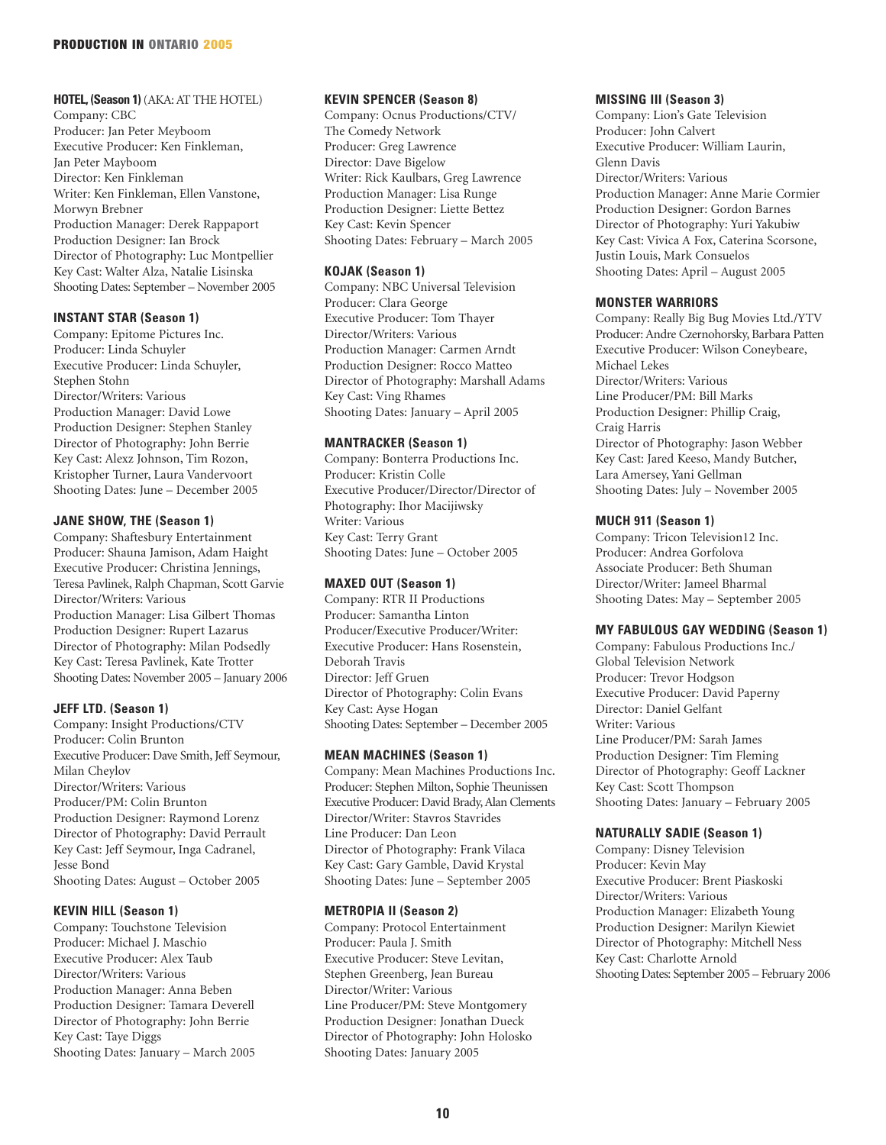# **HOTEL, (Season 1)** (AKA: AT THE HOTEL)

Company: CBC Producer: Jan Peter Meyboom Executive Producer: Ken Finkleman, Jan Peter Mayboom Director: Ken Finkleman Writer: Ken Finkleman, Ellen Vanstone, Morwyn Brebner Production Manager: Derek Rappaport Production Designer: Ian Brock Director of Photography: Luc Montpellier Key Cast: Walter Alza, Natalie Lisinska Shooting Dates: September – November 2005

# **INSTANT STAR (Season 1)**

Company: Epitome Pictures Inc. Producer: Linda Schuyler Executive Producer: Linda Schuyler, Stephen Stohn Director/Writers: Various Production Manager: David Lowe Production Designer: Stephen Stanley Director of Photography: John Berrie Key Cast: Alexz Johnson, Tim Rozon, Kristopher Turner, Laura Vandervoort Shooting Dates: June – December 2005

# **JANE SHOW, THE (Season 1)**

Company: Shaftesbury Entertainment Producer: Shauna Jamison, Adam Haight Executive Producer: Christina Jennings, Teresa Pavlinek, Ralph Chapman, Scott Garvie Director/Writers: Various Production Manager: Lisa Gilbert Thomas Production Designer: Rupert Lazarus Director of Photography: Milan Podsedly Key Cast: Teresa Pavlinek, Kate Trotter Shooting Dates: November 2005 – January 2006

# **JEFF LTD. (Season 1)**

Company: Insight Productions/CTV Producer: Colin Brunton Executive Producer: Dave Smith, Jeff Seymour, Milan Cheylov Director/Writers: Various Producer/PM: Colin Brunton Production Designer: Raymond Lorenz Director of Photography: David Perrault Key Cast: Jeff Seymour, Inga Cadranel, Jesse Bond Shooting Dates: August – October 2005

# **KEVIN HILL (Season 1)**

Company: Touchstone Television Producer: Michael J. Maschio Executive Producer: Alex Taub Director/Writers: Various Production Manager: Anna Beben Production Designer: Tamara Deverell Director of Photography: John Berrie Key Cast: Taye Diggs Shooting Dates: January – March 2005

# **KEVIN SPENCER (Season 8)**

Company: Ocnus Productions/CTV/ The Comedy Network Producer: Greg Lawrence Director: Dave Bigelow Writer: Rick Kaulbars, Greg Lawrence Production Manager: Lisa Runge Production Designer: Liette Bettez Key Cast: Kevin Spencer Shooting Dates: February – March 2005

# **KOJAK (Season 1)**

Company: NBC Universal Television Producer: Clara George Executive Producer: Tom Thayer Director/Writers: Various Production Manager: Carmen Arndt Production Designer: Rocco Matteo Director of Photography: Marshall Adams Key Cast: Ving Rhames Shooting Dates: January – April 2005

#### **MANTRACKER (Season 1)**

Company: Bonterra Productions Inc. Producer: Kristin Colle Executive Producer/Director/Director of Photography: Ihor Macijiwsky Writer: Various Key Cast: Terry Grant Shooting Dates: June – October 2005

# **MAXED OUT (Season 1)**

Company: RTR II Productions Producer: Samantha Linton Producer/Executive Producer/Writer: Executive Producer: Hans Rosenstein, Deborah Travis Director: Jeff Gruen Director of Photography: Colin Evans Key Cast: Ayse Hogan Shooting Dates: September – December 2005

#### **MEAN MACHINES (Season 1)**

Company: Mean Machines Productions Inc. Producer: Stephen Milton, Sophie Theunissen Executive Producer: David Brady, Alan Clements Director/Writer: Stavros Stavrides Line Producer: Dan Leon Director of Photography: Frank Vilaca Key Cast: Gary Gamble, David Krystal Shooting Dates: June – September 2005

# **METROPIA II (Season 2)**

Company: Protocol Entertainment Producer: Paula J. Smith Executive Producer: Steve Levitan, Stephen Greenberg, Jean Bureau Director/Writer: Various Line Producer/PM: Steve Montgomery Production Designer: Jonathan Dueck Director of Photography: John Holosko Shooting Dates: January 2005

# **MISSING III (Season 3)**

Company: Lion's Gate Television Producer: John Calvert Executive Producer: William Laurin, Glenn Davis Director/Writers: Various Production Manager: Anne Marie Cormier Production Designer: Gordon Barnes Director of Photography: Yuri Yakubiw Key Cast: Vivica A Fox, Caterina Scorsone, Justin Louis, Mark Consuelos Shooting Dates: April – August 2005

# **MONSTER WARRIORS**

Company: Really Big Bug Movies Ltd./YTV Producer: Andre Czernohorsky, Barbara Patten Executive Producer: Wilson Coneybeare, Michael Lekes Director/Writers: Various Line Producer/PM: Bill Marks Production Designer: Phillip Craig, Craig Harris Director of Photography: Jason Webber Key Cast: Jared Keeso, Mandy Butcher, Lara Amersey, Yani Gellman Shooting Dates: July – November 2005

# **MUCH 911 (Season 1)**

Company: Tricon Television12 Inc. Producer: Andrea Gorfolova Associate Producer: Beth Shuman Director/Writer: Jameel Bharmal Shooting Dates: May – September 2005

# **MY FABULOUS GAY WEDDING (Season 1)**

Company: Fabulous Productions Inc./ Global Television Network Producer: Trevor Hodgson Executive Producer: David Paperny Director: Daniel Gelfant Writer: Various Line Producer/PM: Sarah James Production Designer: Tim Fleming Director of Photography: Geoff Lackner Key Cast: Scott Thompson Shooting Dates: January – February 2005

# **NATURALLY SADIE (Season 1)**

Company: Disney Television Producer: Kevin May Executive Producer: Brent Piaskoski Director/Writers: Various Production Manager: Elizabeth Young Production Designer: Marilyn Kiewiet Director of Photography: Mitchell Ness Key Cast: Charlotte Arnold Shooting Dates: September 2005 – February 2006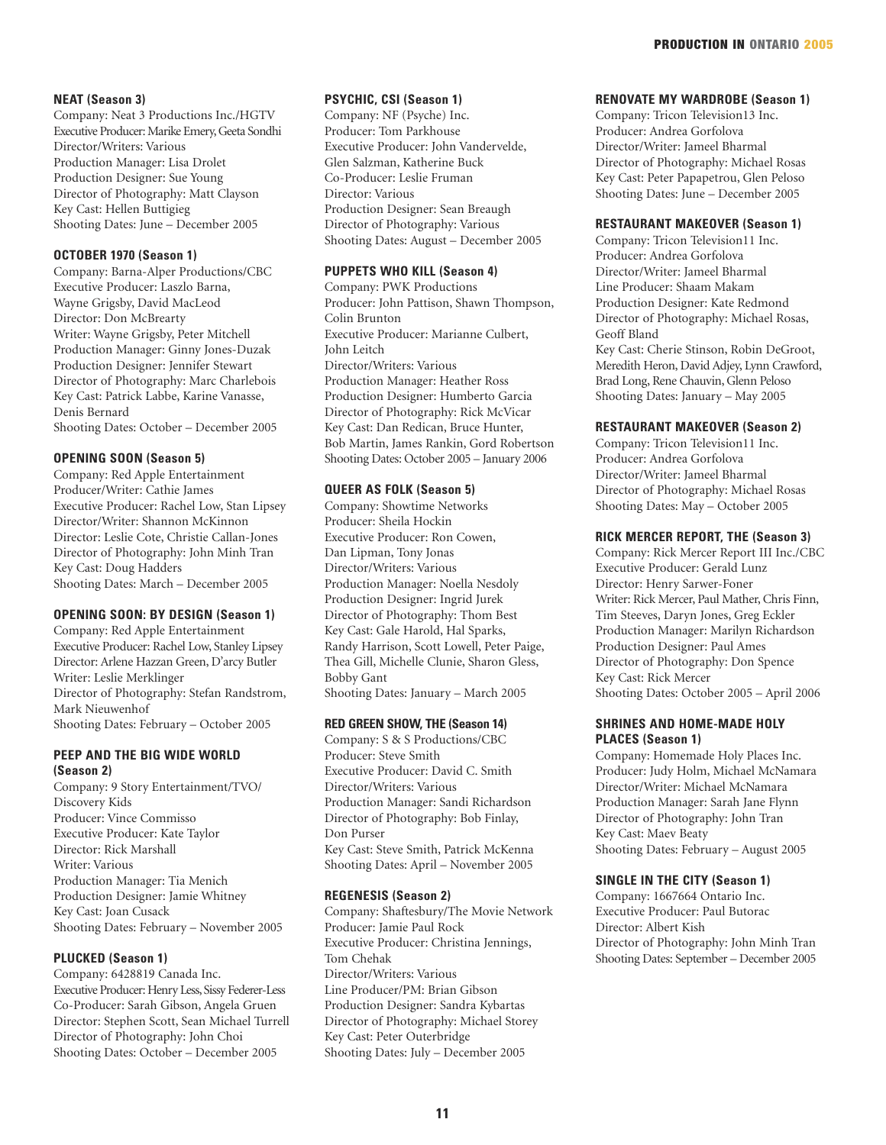# **NEAT (Season 3)**

Company: Neat 3 Productions Inc./HGTV Executive Producer: Marike Emery, Geeta Sondhi Director/Writers: Various Production Manager: Lisa Drolet Production Designer: Sue Young Director of Photography: Matt Clayson Key Cast: Hellen Buttigieg Shooting Dates: June – December 2005

# **OCTOBER 1970 (Season 1)**

Company: Barna-Alper Productions/CBC Executive Producer: Laszlo Barna, Wayne Grigsby, David MacLeod Director: Don McBrearty Writer: Wayne Grigsby, Peter Mitchell Production Manager: Ginny Jones-Duzak Production Designer: Jennifer Stewart Director of Photography: Marc Charlebois Key Cast: Patrick Labbe, Karine Vanasse, Denis Bernard

Shooting Dates: October – December 2005

# **OPENING SOON (Season 5)**

Company: Red Apple Entertainment Producer/Writer: Cathie James Executive Producer: Rachel Low, Stan Lipsey Director/Writer: Shannon McKinnon Director: Leslie Cote, Christie Callan-Jones Director of Photography: John Minh Tran Key Cast: Doug Hadders Shooting Dates: March – December 2005

#### **OPENING SOON: BY DESIGN (Season 1)**

Company: Red Apple Entertainment Executive Producer: Rachel Low, Stanley Lipsey Director: Arlene Hazzan Green, D'arcy Butler Writer: Leslie Merklinger Director of Photography: Stefan Randstrom, Mark Nieuwenhof Shooting Dates: February – October 2005

# **PEEP AND THE BIG WIDE WORLD (Season 2)**

Company: 9 Story Entertainment/TVO/ Discovery Kids Producer: Vince Commisso Executive Producer: Kate Taylor Director: Rick Marshall Writer: Various Production Manager: Tia Menich Production Designer: Jamie Whitney Key Cast: Joan Cusack Shooting Dates: February – November 2005

# **PLUCKED (Season 1)**

Company: 6428819 Canada Inc. Executive Producer: Henry Less, Sissy Federer-Less Co-Producer: Sarah Gibson, Angela Gruen Director: Stephen Scott, Sean Michael Turrell Director of Photography: John Choi Shooting Dates: October – December 2005

# **PSYCHIC, CSI (Season 1)**

Company: NF (Psyche) Inc. Producer: Tom Parkhouse Executive Producer: John Vandervelde, Glen Salzman, Katherine Buck Co-Producer: Leslie Fruman Director: Various Production Designer: Sean Breaugh Director of Photography: Various Shooting Dates: August – December 2005

# **PUPPETS WHO KILL (Season 4)**

Company: PWK Productions Producer: John Pattison, Shawn Thompson, Colin Brunton Executive Producer: Marianne Culbert, John Leitch Director/Writers: Various Production Manager: Heather Ross Production Designer: Humberto Garcia Director of Photography: Rick McVicar Key Cast: Dan Redican, Bruce Hunter, Bob Martin, James Rankin, Gord Robertson Shooting Dates: October 2005 – January 2006

# **QUEER AS FOLK (Season 5)**

Company: Showtime Networks Producer: Sheila Hockin Executive Producer: Ron Cowen, Dan Lipman, Tony Jonas Director/Writers: Various Production Manager: Noella Nesdoly Production Designer: Ingrid Jurek Director of Photography: Thom Best Key Cast: Gale Harold, Hal Sparks, Randy Harrison, Scott Lowell, Peter Paige, Thea Gill, Michelle Clunie, Sharon Gless, Bobby Gant Shooting Dates: January – March 2005

# **RED GREEN SHOW, THE (Season 14)**

Company: S & S Productions/CBC Producer: Steve Smith Executive Producer: David C. Smith Director/Writers: Various Production Manager: Sandi Richardson Director of Photography: Bob Finlay, Don Purser Key Cast: Steve Smith, Patrick McKenna Shooting Dates: April – November 2005

#### **REGENESIS (Season 2)**

Company: Shaftesbury/The Movie Network Producer: Jamie Paul Rock Executive Producer: Christina Jennings, Tom Chehak Director/Writers: Various Line Producer/PM: Brian Gibson Production Designer: Sandra Kybartas Director of Photography: Michael Storey Key Cast: Peter Outerbridge Shooting Dates: July – December 2005

#### **RENOVATE MY WARDROBE (Season 1)**

Company: Tricon Television13 Inc. Producer: Andrea Gorfolova Director/Writer: Jameel Bharmal Director of Photography: Michael Rosas Key Cast: Peter Papapetrou, Glen Peloso Shooting Dates: June – December 2005

# **RESTAURANT MAKEOVER (Season 1)**

Company: Tricon Television11 Inc. Producer: Andrea Gorfolova Director/Writer: Jameel Bharmal Line Producer: Shaam Makam Production Designer: Kate Redmond Director of Photography: Michael Rosas, Geoff Bland Key Cast: Cherie Stinson, Robin DeGroot, Meredith Heron, David Adjey, Lynn Crawford, Brad Long, Rene Chauvin, Glenn Peloso Shooting Dates: January – May 2005

#### **RESTAURANT MAKEOVER (Season 2)**

Company: Tricon Television11 Inc. Producer: Andrea Gorfolova Director/Writer: Jameel Bharmal Director of Photography: Michael Rosas Shooting Dates: May – October 2005

#### **RICK MERCER REPORT, THE (Season 3)**

Company: Rick Mercer Report III Inc./CBC Executive Producer: Gerald Lunz Director: Henry Sarwer-Foner Writer: Rick Mercer, Paul Mather, Chris Finn, Tim Steeves, Daryn Jones, Greg Eckler Production Manager: Marilyn Richardson Production Designer: Paul Ames Director of Photography: Don Spence Key Cast: Rick Mercer Shooting Dates: October 2005 – April 2006

# **SHRINES AND HOME-MADE HOLY PLACES (Season 1)**

Company: Homemade Holy Places Inc. Producer: Judy Holm, Michael McNamara Director/Writer: Michael McNamara Production Manager: Sarah Jane Flynn Director of Photography: John Tran Key Cast: Maev Beaty Shooting Dates: February – August 2005

#### **SINGLE IN THE CITY (Season 1)**

Company: 1667664 Ontario Inc. Executive Producer: Paul Butorac Director: Albert Kish Director of Photography: John Minh Tran Shooting Dates: September – December 2005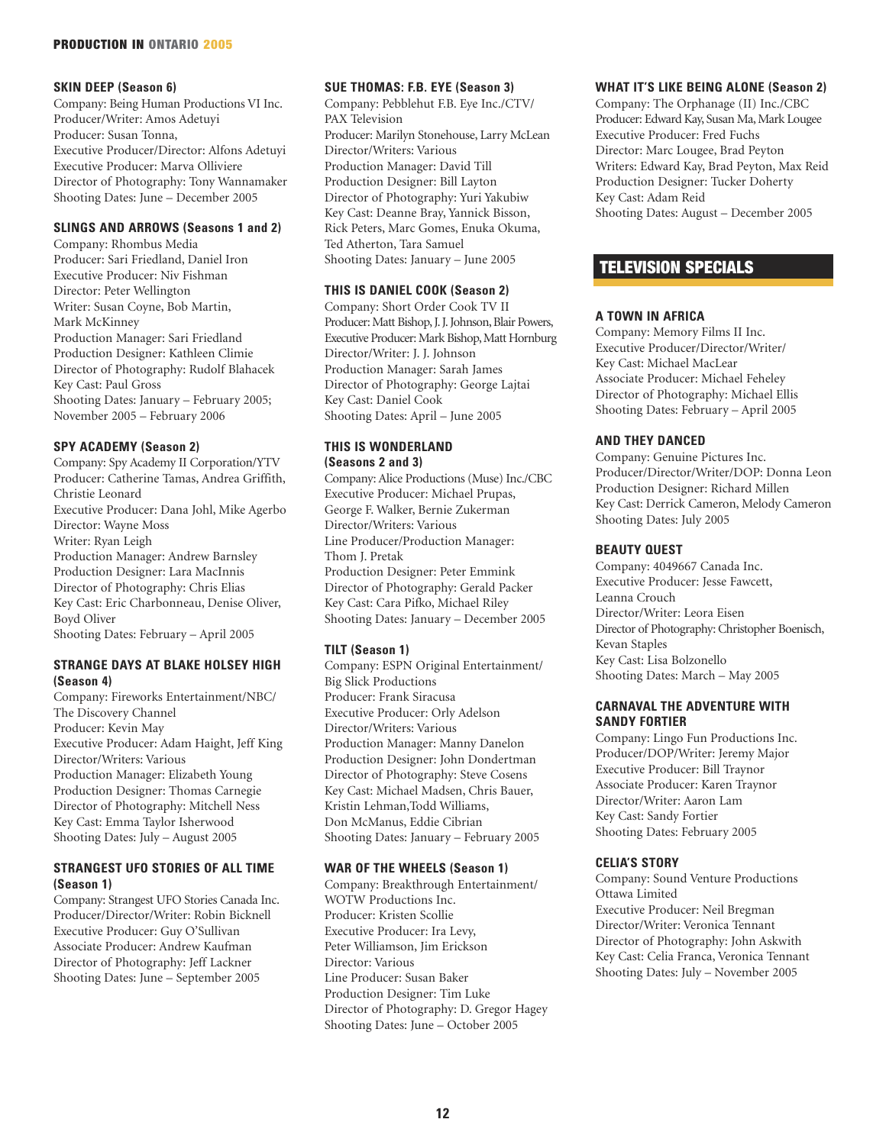#### PRODUCTION IN ONTARIO 2005

#### **SKIN DEEP (Season 6)**

Company: Being Human Productions VI Inc. Producer/Writer: Amos Adetuyi Producer: Susan Tonna, Executive Producer/Director: Alfons Adetuyi Executive Producer: Marva Olliviere Director of Photography: Tony Wannamaker Shooting Dates: June – December 2005

# **SLINGS AND ARROWS (Seasons 1 and 2)**

Company: Rhombus Media Producer: Sari Friedland, Daniel Iron Executive Producer: Niv Fishman Director: Peter Wellington Writer: Susan Coyne, Bob Martin, Mark McKinney Production Manager: Sari Friedland Production Designer: Kathleen Climie Director of Photography: Rudolf Blahacek Key Cast: Paul Gross Shooting Dates: January – February 2005; November 2005 – February 2006

# **SPY ACADEMY (Season 2)**

Company: Spy Academy II Corporation/YTV Producer: Catherine Tamas, Andrea Griffith, Christie Leonard Executive Producer: Dana Johl, Mike Agerbo Director: Wayne Moss Writer: Ryan Leigh Production Manager: Andrew Barnsley Production Designer: Lara MacInnis Director of Photography: Chris Elias Key Cast: Eric Charbonneau, Denise Oliver, Boyd Oliver Shooting Dates: February – April 2005

#### **STRANGE DAYS AT BLAKE HOLSEY HIGH (Season 4)**

Company: Fireworks Entertainment/NBC/ The Discovery Channel Producer: Kevin May Executive Producer: Adam Haight, Jeff King Director/Writers: Various Production Manager: Elizabeth Young Production Designer: Thomas Carnegie Director of Photography: Mitchell Ness Key Cast: Emma Taylor Isherwood Shooting Dates: July – August 2005

# **STRANGEST UFO STORIES OF ALL TIME (Season 1)**

Company: Strangest UFO Stories Canada Inc. Producer/Director/Writer: Robin Bicknell Executive Producer: Guy O'Sullivan Associate Producer: Andrew Kaufman Director of Photography: Jeff Lackner Shooting Dates: June – September 2005

# **SUE THOMAS: F.B. EYE (Season 3)**

Company: Pebblehut F.B. Eye Inc./CTV/ PAX Television Producer: Marilyn Stonehouse, Larry McLean Director/Writers: Various Production Manager: David Till Production Designer: Bill Layton Director of Photography: Yuri Yakubiw Key Cast: Deanne Bray, Yannick Bisson, Rick Peters, Marc Gomes, Enuka Okuma, Ted Atherton, Tara Samuel Shooting Dates: January – June 2005

# **THIS IS DANIEL COOK (Season 2)**

Company: Short Order Cook TV II Producer: Matt Bishop, J. J. Johnson, Blair Powers, Executive Producer: Mark Bishop, Matt Hornburg Director/Writer: J. J. Johnson Production Manager: Sarah James Director of Photography: George Lajtai Key Cast: Daniel Cook Shooting Dates: April – June 2005

# **THIS IS WONDERLAND (Seasons 2 and 3)**

Company: Alice Productions (Muse) Inc./CBC Executive Producer: Michael Prupas, George F. Walker, Bernie Zukerman Director/Writers: Various Line Producer/Production Manager: Thom J. Pretak Production Designer: Peter Emmink Director of Photography: Gerald Packer Key Cast: Cara Pifko, Michael Riley Shooting Dates: January – December 2005

#### **TILT (Season 1)**

Company: ESPN Original Entertainment/ Big Slick Productions Producer: Frank Siracusa Executive Producer: Orly Adelson Director/Writers: Various Production Manager: Manny Danelon Production Designer: John Dondertman Director of Photography: Steve Cosens Key Cast: Michael Madsen, Chris Bauer, Kristin Lehman,Todd Williams, Don McManus, Eddie Cibrian Shooting Dates: January – February 2005

#### **WAR OF THE WHEELS (Season 1)**

Company: Breakthrough Entertainment/ WOTW Productions Inc. Producer: Kristen Scollie Executive Producer: Ira Levy, Peter Williamson, Jim Erickson Director: Various Line Producer: Susan Baker Production Designer: Tim Luke Director of Photography: D. Gregor Hagey Shooting Dates: June – October 2005

# **WHAT IT'S LIKE BEING ALONE (Season 2)**

Company: The Orphanage (II) Inc./CBC Producer: Edward Kay, Susan Ma, Mark Lougee Executive Producer: Fred Fuchs Director: Marc Lougee, Brad Peyton Writers: Edward Kay, Brad Peyton, Max Reid Production Designer: Tucker Doherty Key Cast: Adam Reid Shooting Dates: August – December 2005

# TELEVISION SPECIALS

#### **A TOWN IN AFRICA**

Company: Memory Films II Inc. Executive Producer/Director/Writer/ Key Cast: Michael MacLear Associate Producer: Michael Feheley Director of Photography: Michael Ellis Shooting Dates: February – April 2005

# **AND THEY DANCED**

Company: Genuine Pictures Inc. Producer/Director/Writer/DOP: Donna Leon Production Designer: Richard Millen Key Cast: Derrick Cameron, Melody Cameron Shooting Dates: July 2005

#### **BEAUTY QUEST**

Company: 4049667 Canada Inc. Executive Producer: Jesse Fawcett, Leanna Crouch Director/Writer: Leora Eisen Director of Photography: Christopher Boenisch, Kevan Staples Key Cast: Lisa Bolzonello Shooting Dates: March – May 2005

# **CARNAVAL THE ADVENTURE WITH SANDY FORTIER**

Company: Lingo Fun Productions Inc. Producer/DOP/Writer: Jeremy Major Executive Producer: Bill Traynor Associate Producer: Karen Traynor Director/Writer: Aaron Lam Key Cast: Sandy Fortier Shooting Dates: February 2005

#### **CELIA'S STORY**

Company: Sound Venture Productions Ottawa Limited Executive Producer: Neil Bregman Director/Writer: Veronica Tennant Director of Photography: John Askwith Key Cast: Celia Franca, Veronica Tennant Shooting Dates: July – November 2005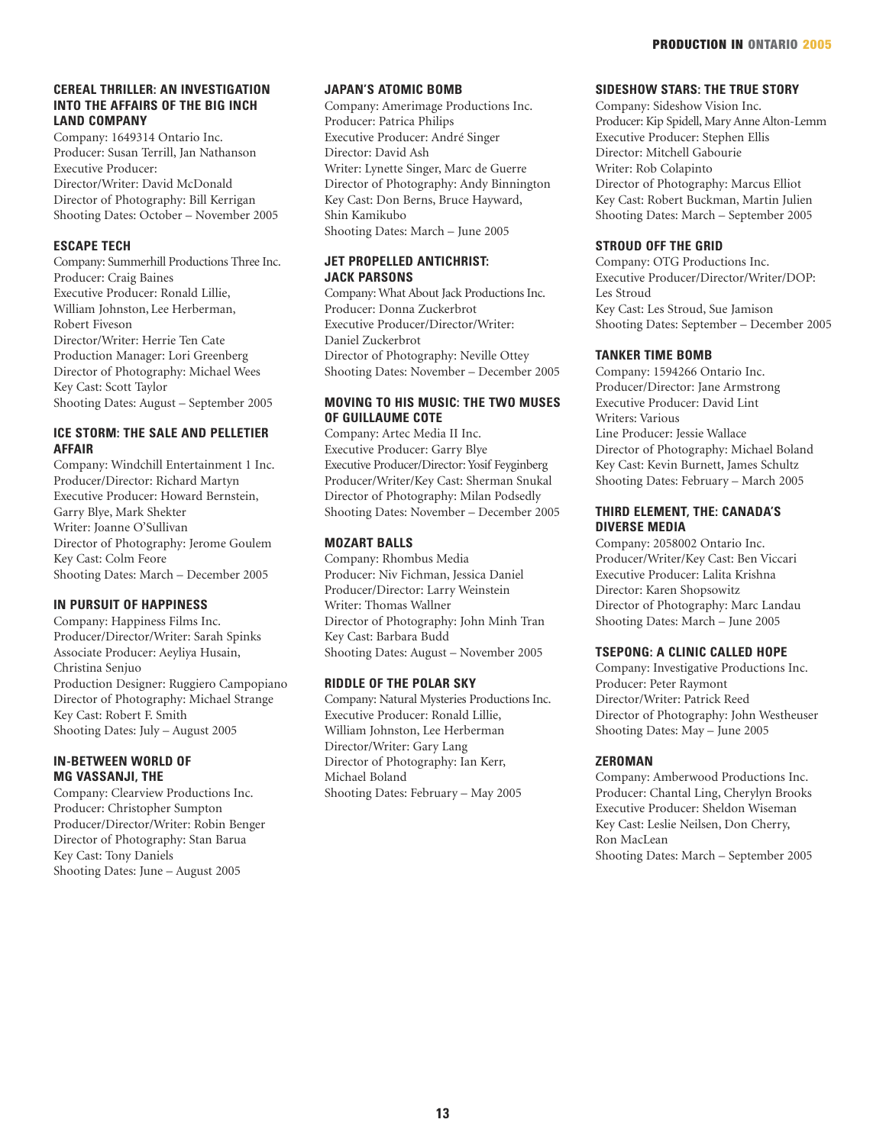# **CEREAL THRILLER: AN INVESTIGATION INTO THE AFFAIRS OF THE BIG INCH LAND COMPANY**

Company: 1649314 Ontario Inc. Producer: Susan Terrill, Jan Nathanson Executive Producer: Director/Writer: David McDonald Director of Photography: Bill Kerrigan Shooting Dates: October – November 2005

# **ESCAPE TECH**

Company: Summerhill Productions Three Inc. Producer: Craig Baines Executive Producer: Ronald Lillie, William Johnston, Lee Herberman, Robert Fiveson Director/Writer: Herrie Ten Cate Production Manager: Lori Greenberg Director of Photography: Michael Wees Key Cast: Scott Taylor Shooting Dates: August – September 2005

# **ICE STORM: THE SALE AND PELLETIER AFFAIR**

Company: Windchill Entertainment 1 Inc. Producer/Director: Richard Martyn Executive Producer: Howard Bernstein, Garry Blye, Mark Shekter Writer: Joanne O'Sullivan Director of Photography: Jerome Goulem Key Cast: Colm Feore Shooting Dates: March – December 2005

# **IN PURSUIT OF HAPPINESS**

Company: Happiness Films Inc. Producer/Director/Writer: Sarah Spinks Associate Producer: Aeyliya Husain, Christina Senjuo Production Designer: Ruggiero Campopiano Director of Photography: Michael Strange Key Cast: Robert F. Smith Shooting Dates: July – August 2005

# **IN-BETWEEN WORLD OF MG VASSANJI, THE**

Company: Clearview Productions Inc. Producer: Christopher Sumpton Producer/Director/Writer: Robin Benger Director of Photography: Stan Barua Key Cast: Tony Daniels Shooting Dates: June – August 2005

# **JAPAN'S ATOMIC BOMB**

Company: Amerimage Productions Inc. Producer: Patrica Philips Executive Producer: André Singer Director: David Ash Writer: Lynette Singer, Marc de Guerre Director of Photography: Andy Binnington Key Cast: Don Berns, Bruce Hayward, Shin Kamikubo Shooting Dates: March – June 2005

# **JET PROPELLED ANTICHRIST: JACK PARSONS**

Company: What About Jack Productions Inc. Producer: Donna Zuckerbrot Executive Producer/Director/Writer: Daniel Zuckerbrot Director of Photography: Neville Ottey Shooting Dates: November – December 2005

# **MOVING TO HIS MUSIC: THE TWO MUSES OF GUILLAUME COTE**

Company: Artec Media II Inc. Executive Producer: Garry Blye Executive Producer/Director: Yosif Feyginberg Producer/Writer/Key Cast: Sherman Snukal Director of Photography: Milan Podsedly Shooting Dates: November – December 2005

# **MOZART BALLS**

Company: Rhombus Media Producer: Niv Fichman, Jessica Daniel Producer/Director: Larry Weinstein Writer: Thomas Wallner Director of Photography: John Minh Tran Key Cast: Barbara Budd Shooting Dates: August – November 2005

# **RIDDLE OF THE POLAR SKY**

Company: Natural Mysteries Productions Inc. Executive Producer: Ronald Lillie, William Johnston, Lee Herberman Director/Writer: Gary Lang Director of Photography: Ian Kerr, Michael Boland Shooting Dates: February – May 2005

# **SIDESHOW STARS: THE TRUE STORY**

Company: Sideshow Vision Inc. Producer: Kip Spidell, Mary Anne Alton-Lemm Executive Producer: Stephen Ellis Director: Mitchell Gabourie Writer: Rob Colapinto Director of Photography: Marcus Elliot Key Cast: Robert Buckman, Martin Julien Shooting Dates: March – September 2005

# **STROUD OFF THE GRID**

Company: OTG Productions Inc. Executive Producer/Director/Writer/DOP: Les Stroud Key Cast: Les Stroud, Sue Jamison Shooting Dates: September – December 2005

# **TANKER TIME BOMB**

Company: 1594266 Ontario Inc. Producer/Director: Jane Armstrong Executive Producer: David Lint Writers: Various Line Producer: Jessie Wallace Director of Photography: Michael Boland Key Cast: Kevin Burnett, James Schultz Shooting Dates: February – March 2005

# **THIRD ELEMENT, THE: CANADA'S DIVERSE MEDIA**

Company: 2058002 Ontario Inc. Producer/Writer/Key Cast: Ben Viccari Executive Producer: Lalita Krishna Director: Karen Shopsowitz Director of Photography: Marc Landau Shooting Dates: March – June 2005

# **TSEPONG: A CLINIC CALLED HOPE**

Company: Investigative Productions Inc. Producer: Peter Raymont Director/Writer: Patrick Reed Director of Photography: John Westheuser Shooting Dates: May – June 2005

# **ZEROMAN**

Company: Amberwood Productions Inc. Producer: Chantal Ling, Cherylyn Brooks Executive Producer: Sheldon Wiseman Key Cast: Leslie Neilsen, Don Cherry, Ron MacLean Shooting Dates: March – September 2005